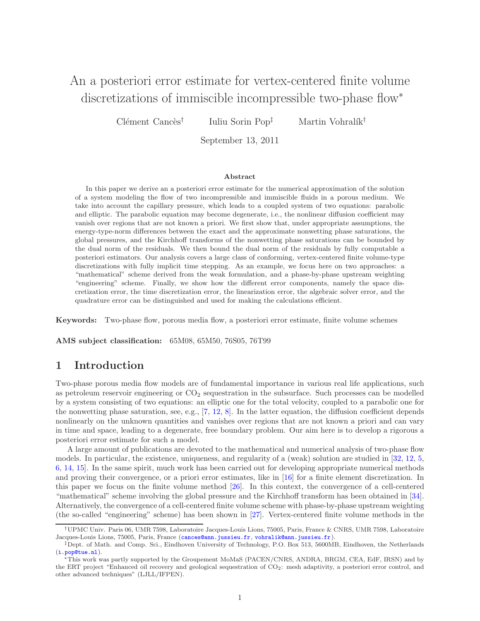# An a posteriori error estimate for vertex-centered finite volume discretizations of immiscible incompressible two-phase flow<sup>∗</sup>

Clément Cancès<sup>†</sup> Iuliu Sorin Pop<sup> $\dagger$ </sup> Martin Vohralík<sup>†</sup>

September 13, 2011

#### Abstract

In this paper we derive an a posteriori error estimate for the numerical approximation of the solution of a system modeling the flow of two incompressible and immiscible fluids in a porous medium. We take into account the capillary pressure, which leads to a coupled system of two equations: parabolic and elliptic. The parabolic equation may become degenerate, i.e., the nonlinear diffusion coefficient may vanish over regions that are not known a priori. We first show that, under appropriate assumptions, the energy-type-norm differences between the exact and the approximate nonwetting phase saturations, the global pressures, and the Kirchhoff transforms of the nonwetting phase saturations can be bounded by the dual norm of the residuals. We then bound the dual norm of the residuals by fully computable a posteriori estimators. Our analysis covers a large class of conforming, vertex-centered finite volume-type discretizations with fully implicit time stepping. As an example, we focus here on two approaches: a "mathematical" scheme derived from the weak formulation, and a phase-by-phase upstream weighting "engineering" scheme. Finally, we show how the different error components, namely the space discretization error, the time discretization error, the linearization error, the algebraic solver error, and the quadrature error can be distinguished and used for making the calculations efficient.

Keywords: Two-phase flow, porous media flow, a posteriori error estimate, finite volume schemes

AMS subject classification: 65M08, 65M50, 76S05, 76T99

# 1 Introduction

Two-phase porous media flow models are of fundamental importance in various real life applications, such as petroleum reservoir engineering or  $CO<sub>2</sub>$  sequestration in the subsurface. Such processes can be modelled by a system consisting of two equations: an elliptic one for the total velocity, coupled to a parabolic one for the nonwetting phase saturation, see, e.g.,  $[7, 12, 8]$  $[7, 12, 8]$  $[7, 12, 8]$  $[7, 12, 8]$ . In the latter equation, the diffusion coefficient depends nonlinearly on the unknown quantities and vanishes over regions that are not known a priori and can vary in time and space, leading to a degenerate, free boundary problem. Our aim here is to develop a rigorous a posteriori error estimate for such a model.

A large amount of publications are devoted to the mathematical and numerical analysis of two-phase flow models. In particular, the existence, uniqueness, and regularity of a (weak) solution are studied in [\[32,](#page-24-0) [12,](#page-23-1) [5,](#page-23-3) [6,](#page-23-4) [14,](#page-23-5) [15\]](#page-24-1). In the same spirit, much work has been carried out for developing appropriate numerical methods and proving their convergence, or a priori error estimates, like in [\[16\]](#page-24-2) for a finite element discretization. In this paper we focus on the finite volume method [\[26\]](#page-24-3). In this context, the convergence of a cell-centered "mathematical" scheme involving the global pressure and the Kirchhoff transform has been obtained in [\[34\]](#page-24-4). Alternatively, the convergence of a cell-centered finite volume scheme with phase-by-phase upstream weighting (the so-called "engineering" scheme) has been shown in [\[27\]](#page-24-5). Vertex-centered finite volume methods in the

<sup>†</sup>UPMC Univ. Paris 06, UMR 7598, Laboratoire Jacques-Louis Lions, 75005, Paris, France & CNRS, UMR 7598, Laboratoire Jacques-Louis Lions, 75005, Paris, France ([cances@ann.jussieu.fr](mailto:cances@ann.jussieu.fr), [vohralik@ann.jussieu.fr](mailto:vohralik@ann.jussieu.fr)).

<sup>‡</sup>Dept. of Math. and Comp. Sci., Eindhoven University of Technology, P.O. Box 513, 5600MB, Eindhoven, the Netherlands  $(\mathtt{i}.\mathtt{pop@tue.nl}).$ 

This work was partly supported by the Groupement MoMaS (PACEN/CNRS, ANDRA, BRGM, CEA, EdF, IRSN) and by the ERT project "Enhanced oil recovery and geological sequestration of CO2: mesh adaptivity, a posteriori error control, and other advanced techniques" (LJLL/IFPEN).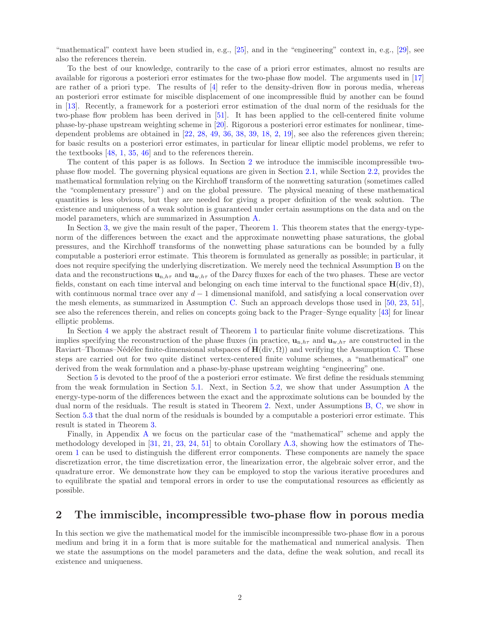"mathematical" context have been studied in, e.g., [\[25\]](#page-24-6), and in the "engineering" context in, e.g., [\[29\]](#page-24-7), see also the references therein.

To the best of our knowledge, contrarily to the case of a priori error estimates, almost no results are available for rigorous a posteriori error estimates for the two-phase flow model. The arguments used in [\[17\]](#page-24-8) are rather of a priori type. The results of  $[4]$  refer to the density-driven flow in porous media, whereas an posteriori error estimate for miscible displacement of one incompressible fluid by another can be found in [\[13\]](#page-23-7). Recently, a framework for a posteriori error estimation of the dual norm of the residuals for the two-phase flow problem has been derived in [\[51\]](#page-25-0). It has been applied to the cell-centered finite volume phase-by-phase upstream weighting scheme in [\[20\]](#page-24-9). Rigorous a posteriori error estimates for nonlinear, timedependent problems are obtained in [\[22,](#page-24-10) [28,](#page-24-11) [49,](#page-25-1) [36,](#page-25-2) [38,](#page-25-3) [39,](#page-25-4) [18,](#page-24-12) [2,](#page-23-8) [19\]](#page-24-13), see also the references given therein; for basic results on a posteriori error estimates, in particular for linear elliptic model problems, we refer to the textbooks [\[48,](#page-25-5) [1,](#page-23-9) [35,](#page-25-6) [46\]](#page-25-7) and to the references therein.

The content of this paper is as follows. In Section [2](#page-1-0) we introduce the immiscible incompressible twophase flow model. The governing physical equations are given in Section [2.1,](#page-2-0) while Section [2.2,](#page-3-0) provides the mathematical formulation relying on the Kirchhoff transform of the nonwetting saturation (sometimes called the "complementary pressure") and on the global pressure. The physical meaning of these mathematical quantities is less obvious, but they are needed for giving a proper definition of the weak solution. The existence and uniqueness of a weak solution is guaranteed under certain assumptions on the data and on the model parameters, which are summarized in Assumption [A.](#page-4-0)

In Section [3,](#page-5-0) we give the main result of the paper, Theorem [1.](#page-7-0) This theorem states that the energy-typenorm of the differences between the exact and the approximate nonwetting phase saturations, the global pressures, and the Kirchhoff transforms of the nonwetting phase saturations can be bounded by a fully computable a posteriori error estimate. This theorem is formulated as generally as possible; in particular, it does not require specifying the underlying discretization. We merely need the technical Assumption [B](#page-6-0) on the data and the reconstructions  $\mathbf{u}_{n,h\tau}$  and  $\mathbf{u}_{w,h\tau}$  of the Darcy fluxes for each of the two phases. These are vector fields, constant on each time interval and belonging on each time interval to the functional space  $H(\text{div}, \Omega)$ , with continuous normal trace over any  $d-1$  dimensional manifold, and satisfying a local conservation over the mesh elements, as summarized in Assumption [C.](#page-6-1) Such an approach develops those used in [\[50,](#page-25-8) [23,](#page-24-14) [51\]](#page-25-0), see also the references therein, and relies on concepts going back to the Prager–Synge equality [\[43\]](#page-25-9) for linear elliptic problems.

In Section [4](#page-7-1) we apply the abstract result of Theorem [1](#page-7-0) to particular finite volume discretizations. This implies specifying the reconstruction of the phase fluxes (in practice,  $\mathbf{u}_{n,h\tau}$  and  $\mathbf{u}_{w,h\tau}$  are constructed in the Raviart–Thomas–Nédélec finite-dimensional subspaces of  $H(\text{div}, \Omega)$ ) and verifying the Assumption [C.](#page-6-1) These steps are carried out for two quite distinct vertex-centered finite volume schemes, a "mathematical" one derived from the weak formulation and a phase-by-phase upstream weighting "engineering" one.

Section [5](#page-10-0) is devoted to the proof of the a posteriori error estimate. We first define the residuals stemming from the weak formulation in Section [5.1.](#page-11-0) Next, in Section [5.2,](#page-11-1) we show that under Assumption [A](#page-4-0) the energy-type-norm of the differences between the exact and the approximate solutions can be bounded by the dual norm of the residuals. The result is stated in Theorem [2.](#page-16-0) Next, under Assumptions [B,](#page-6-0) [C,](#page-6-1) we show in Section [5.3](#page-17-0) that the dual norm of the residuals is bounded by a computable a posteriori error estimate. This result is stated in Theorem [3.](#page-17-1)

Finally, in Appendix [A](#page-18-0) we focus on the particular case of the "mathematical" scheme and apply the methodology developed in [\[31,](#page-24-15) [21,](#page-24-16) [23,](#page-24-14) [24,](#page-24-17) [51\]](#page-25-0) to obtain Corollary [A.3,](#page-22-0) showing how the estimators of Theorem [1](#page-7-0) can be used to distinguish the different error components. These components are namely the space discretization error, the time discretization error, the linearization error, the algebraic solver error, and the quadrature error. We demonstrate how they can be employed to stop the various iterative procedures and to equilibrate the spatial and temporal errors in order to use the computational resources as efficiently as possible.

# <span id="page-1-0"></span>2 The immiscible, incompressible two-phase flow in porous media

In this section we give the mathematical model for the immiscible incompressible two-phase flow in a porous medium and bring it in a form that is more suitable for the mathematical and numerical analysis. Then we state the assumptions on the model parameters and the data, define the weak solution, and recall its existence and uniqueness.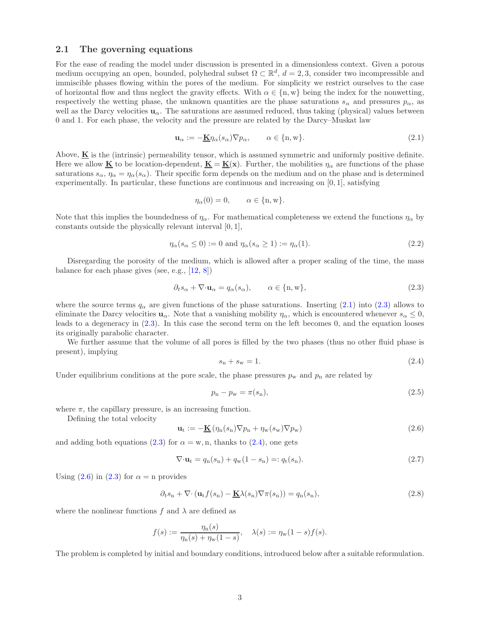## <span id="page-2-0"></span>2.1 The governing equations

For the ease of reading the model under discussion is presented in a dimensionless context. Given a porous medium occupying an open, bounded, polyhedral subset  $\Omega \subset \mathbb{R}^d$ ,  $d=2,3$ , consider two incompressible and immiscible phases flowing within the pores of the medium. For simplicity we restrict ourselves to the case of horizontal flow and thus neglect the gravity effects. With  $\alpha \in \{n, w\}$  being the index for the nonwetting, respectively the wetting phase, the unknown quantities are the phase saturations  $s_{\alpha}$  and pressures  $p_{\alpha}$ , as well as the Darcy velocities  $u_{\alpha}$ . The saturations are assumed reduced, thus taking (physical) values between 0 and 1. For each phase, the velocity and the pressure are related by the Darcy–Muskat law

<span id="page-2-1"></span>
$$
\mathbf{u}_{\alpha} := -\underline{\mathbf{K}} \eta_{\alpha}(s_{\alpha}) \nabla p_{\alpha}, \qquad \alpha \in \{\mathbf{n}, \mathbf{w}\}. \tag{2.1}
$$

Above,  $\bf{K}$  is the (intrinsic) permeability tensor, which is assumed symmetric and uniformly positive definite. Here we allow **K** to be location-dependent,  $\mathbf{K} = \mathbf{K}(\mathbf{x})$ . Further, the mobilities  $\eta_{\alpha}$  are functions of the phase saturations  $s_{\alpha}, \eta_{\alpha} = \eta_{\alpha}(s_{\alpha})$ . Their specific form depends on the medium and on the phase and is determined experimentally. In particular, these functions are continuous and increasing on  $[0, 1]$ , satisfying

$$
\eta_{\alpha}(0) = 0, \qquad \alpha \in \{\mathbf{n}, \mathbf{w}\}.
$$

Note that this implies the boundedness of  $\eta_\alpha$ . For mathematical completeness we extend the functions  $\eta_\alpha$  by constants outside the physically relevant interval [0, 1],

<span id="page-2-7"></span>
$$
\eta_{\alpha}(s_{\alpha} \le 0) := 0 \text{ and } \eta_{\alpha}(s_{\alpha} \ge 1) := \eta_{\alpha}(1). \tag{2.2}
$$

Disregarding the porosity of the medium, which is allowed after a proper scaling of the time, the mass balance for each phase gives (see, e.g., [\[12,](#page-23-1) [8\]](#page-23-2))

<span id="page-2-2"></span>
$$
\partial_t s_\alpha + \nabla \cdot \mathbf{u}_\alpha = q_\alpha(s_\alpha), \qquad \alpha \in \{\mathbf{n}, \mathbf{w}\},\tag{2.3}
$$

where the source terms  $q_{\alpha}$  are given functions of the phase saturations. Inserting [\(2.1\)](#page-2-1) into [\(2.3\)](#page-2-2) allows to eliminate the Darcy velocities  $\mathbf{u}_{\alpha}$ . Note that a vanishing mobility  $\eta_{\alpha}$ , which is encountered whenever  $s_{\alpha} \leq 0$ , leads to a degeneracy in [\(2.3\)](#page-2-2). In this case the second term on the left becomes 0, and the equation looses its originally parabolic character.

We further assume that the volume of all pores is filled by the two phases (thus no other fluid phase is present), implying

<span id="page-2-3"></span>
$$
s_{\rm n} + s_{\rm w} = 1. \tag{2.4}
$$

Under equilibrium conditions at the pore scale, the phase pressures  $p_w$  and  $p_n$  are related by

$$
p_{\rm n} - p_{\rm w} = \pi(s_{\rm n}),\tag{2.5}
$$

where  $\pi$ , the capillary pressure, is an increasing function.

Defining the total velocity

<span id="page-2-4"></span>
$$
\mathbf{u}_{t} := -\underline{\mathbf{K}} \left( \eta_{n}(s_{n}) \nabla p_{n} + \eta_{w}(s_{w}) \nabla p_{w} \right) \tag{2.6}
$$

and adding both equations [\(2.3\)](#page-2-2) for  $\alpha = w, n$ , thanks to [\(2.4\)](#page-2-3), one gets

<span id="page-2-6"></span>
$$
\nabla \cdot \mathbf{u}_{t} = q_{n}(s_{n}) + q_{w}(1 - s_{n}) =: q_{t}(s_{n}). \qquad (2.7)
$$

Using  $(2.6)$  in  $(2.3)$  for  $\alpha =$  n provides

<span id="page-2-5"></span>
$$
\partial_t s_n + \nabla \cdot (\mathbf{u}_t f(s_n) - \underline{\mathbf{K}} \lambda(s_n) \nabla \pi(s_n)) = q_n(s_n), \qquad (2.8)
$$

where the nonlinear functions f and  $\lambda$  are defined as

$$
f(s) := \frac{\eta_n(s)}{\eta_n(s) + \eta_w(1-s)}, \quad \lambda(s) := \eta_w(1-s)f(s).
$$

The problem is completed by initial and boundary conditions, introduced below after a suitable reformulation.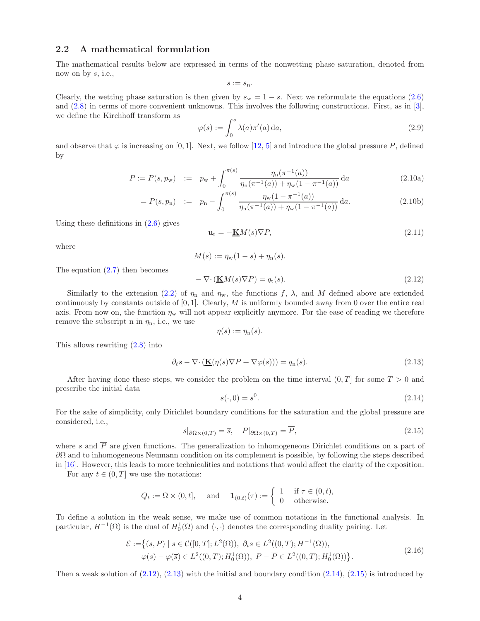# <span id="page-3-0"></span>2.2 A mathematical formulation

The mathematical results below are expressed in terms of the nonwetting phase saturation, denoted from now on by  $s$ , i.e.,

$$
s:=s_{\mathbf{n}}.
$$

Clearly, the wetting phase saturation is then given by  $s_w = 1 - s$ . Next we reformulate the equations [\(2.6\)](#page-2-4) and [\(2.8\)](#page-2-5) in terms of more convenient unknowns. This involves the following constructions. First, as in [\[3\]](#page-23-10), we define the Kirchhoff transform as

<span id="page-3-5"></span>
$$
\varphi(s) := \int_0^s \lambda(a)\pi'(a) \, \mathrm{d}a,\tag{2.9}
$$

<span id="page-3-7"></span>and observe that  $\varphi$  is increasing on [0, 1]. Next, we follow [\[12,](#page-23-1) [5\]](#page-23-3) and introduce the global pressure P, defined by

$$
P := P(s, p_w) := p_w + \int_0^{\pi(s)} \frac{\eta_n(\pi^{-1}(a))}{\eta_n(\pi^{-1}(a)) + \eta_w(1 - \pi^{-1}(a))} da
$$
\n(2.10a)

$$
= P(s, p_n) := p_n - \int_0^{\pi(s)} \frac{\eta_w (1 - \pi^{-1}(a))}{\eta_n(\pi^{-1}(a)) + \eta_w (1 - \pi^{-1}(a))} da.
$$
 (2.10b)

Using these definitions in  $(2.6)$  gives

$$
\mathbf{u}_{t} = -\underline{\mathbf{K}}M(s)\nabla P,\tag{2.11}
$$

where

$$
M(s) := \eta_{w}(1-s) + \eta_{n}(s).
$$

The equation  $(2.7)$  then becomes

<span id="page-3-1"></span>
$$
-\nabla \cdot (\underline{\mathbf{K}}M(s)\nabla P) = q_{t}(s). \tag{2.12}
$$

Similarly to the extension [\(2.2\)](#page-2-7) of  $\eta_n$  and  $\eta_w$ , the functions f,  $\lambda$ , and M defined above are extended continuously by constants outside of  $[0, 1]$ . Clearly, M is uniformly bounded away from 0 over the entire real axis. From now on, the function  $\eta_w$  will not appear explicitly anymore. For the ease of reading we therefore remove the subscript n in  $\eta_n$ , i.e., we use

$$
\eta(s) := \eta_n(s).
$$

This allows rewriting [\(2.8\)](#page-2-5) into

<span id="page-3-2"></span>
$$
\partial_t s - \nabla \cdot (\underline{\mathbf{K}}(\eta(s)\nabla P + \nabla \varphi(s))) = q_n(s). \tag{2.13}
$$

After having done these steps, we consider the problem on the time interval  $(0, T]$  for some  $T > 0$  and prescribe the initial data

<span id="page-3-3"></span>
$$
s(\cdot,0) = s^0.\tag{2.14}
$$

For the sake of simplicity, only Dirichlet boundary conditions for the saturation and the global pressure are considered, i.e.,

<span id="page-3-4"></span>
$$
s|_{\partial\Omega\times(0,T)} = \overline{s}, \quad P|_{\partial\Omega\times(0,T)} = \overline{P}, \tag{2.15}
$$

where  $\overline{s}$  and  $\overline{P}$  are given functions. The generalization to inhomogeneous Dirichlet conditions on a part of  $\partial Ω$  and to inhomogeneous Neumann condition on its complement is possible, by following the steps described in [\[16\]](#page-24-2). However, this leads to more technicalities and notations that would affect the clarity of the exposition.

For any  $t \in (0, T]$  we use the notations:

$$
Q_t := \Omega \times (0, t], \quad \text{and} \quad \mathbf{1}_{(0,t)}(\tau) := \begin{cases} 1 & \text{if } \tau \in (0, t), \\ 0 & \text{otherwise.} \end{cases}
$$

To define a solution in the weak sense, we make use of common notations in the functional analysis. In particular,  $H^{-1}(\Omega)$  is the dual of  $H_0^1(\Omega)$  and  $\langle \cdot, \cdot \rangle$  denotes the corresponding duality pairing. Let

$$
\mathcal{E} := \left\{ (s, P) \mid s \in \mathcal{C}([0, T]; L^2(\Omega)), \ \partial_t s \in L^2((0, T); H^{-1}(\Omega)), \right\}
$$
  

$$
\varphi(s) - \varphi(\overline{s}) \in L^2((0, T); H_0^1(\Omega)), \ P - \overline{P} \in L^2((0, T); H_0^1(\Omega)) \right\}.
$$
 (2.16)

<span id="page-3-6"></span>Then a weak solution of  $(2.12)$ ,  $(2.13)$  with the initial and boundary condition  $(2.14)$ ,  $(2.15)$  is introduced by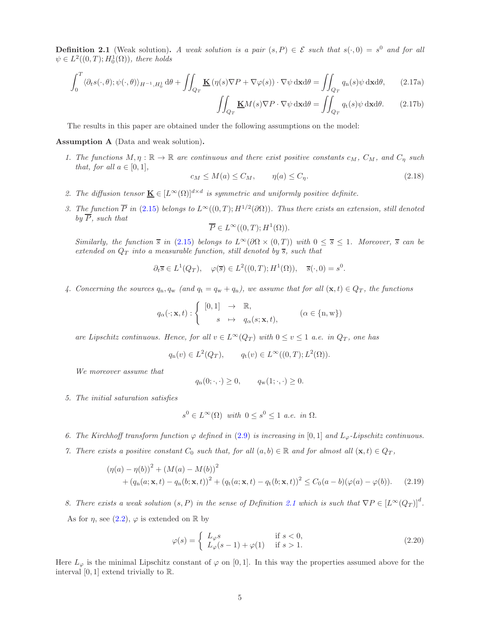<span id="page-4-1"></span>**Definition 2.1** (Weak solution). A weak solution is a pair  $(s, P) \in \mathcal{E}$  such that  $s(\cdot, 0) = s^0$  and for all  $\psi \in L^2((0,T);H^1_0(\Omega))$ , there holds

$$
\int_0^T \langle \partial_t s(\cdot,\theta); \psi(\cdot,\theta) \rangle_{H^{-1},H_0^1} d\theta + \iint_{Q_T} \underline{\mathbf{K}} \left( \eta(s) \nabla P + \nabla \varphi(s) \right) \cdot \nabla \psi \, \mathrm{d} \mathbf{x} d\theta = \iint_{Q_T} q_n(s) \psi \, \mathrm{d} \mathbf{x} d\theta, \tag{2.17a}
$$

<span id="page-4-10"></span><span id="page-4-9"></span>
$$
\iint_{Q_T} \underline{\mathbf{K}} M(s) \nabla P \cdot \nabla \psi \, \mathrm{d} \mathbf{x} \mathrm{d} \theta = \iint_{Q_T} q_t(s) \psi \, \mathrm{d} \mathbf{x} \mathrm{d} \theta. \tag{2.17b}
$$

The results in this paper are obtained under the following assumptions on the model:

<span id="page-4-2"></span><span id="page-4-0"></span>Assumption A (Data and weak solution).

1. The functions  $M, \eta : \mathbb{R} \to \mathbb{R}$  are continuous and there exist positive constants  $c_M$ ,  $C_M$ , and  $C_\eta$  such that, for all  $a \in [0, 1]$ ,

<span id="page-4-11"></span>
$$
c_M \le M(a) \le C_M, \qquad \eta(a) \le C_\eta. \tag{2.18}
$$

- <span id="page-4-4"></span>2. The diffusion tensor  $\underline{\mathbf{K}} \in [L^{\infty}(\Omega)]^{d \times d}$  is symmetric and uniformly positive definite.
- 3. The function  $\overline{P}$  in [\(2.15\)](#page-3-4) belongs to  $L^{\infty}((0,T); H^{1/2}(\partial\Omega))$ . Thus there exists an extension, still denoted by  $\overline{P}$ , such that

$$
\overline{P} \in L^{\infty}((0,T); H^{1}(\Omega)).
$$

Similarly, the function  $\bar{s}$  in [\(2.15\)](#page-3-4) belongs to  $L^{\infty}(\partial\Omega \times (0,T))$  with  $0 \leq \bar{s} \leq 1$ . Moreover,  $\bar{s}$  can be extended on  $Q_T$  into a measurable function, still denoted by  $\overline{s}$ , such that

$$
\partial_t \overline{s} \in L^1(Q_T), \quad \varphi(\overline{s}) \in L^2((0,T); H^1(\Omega)), \quad \overline{s}(\cdot,0) = s^0.
$$

<span id="page-4-5"></span>4. Concerning the sources  $q_n, q_w$  (and  $q_t = q_w + q_n$ ), we assume that for all  $(\mathbf{x}, t) \in Q_T$ , the functions

$$
q_{\alpha}(\cdot; \mathbf{x}, t) : \begin{cases} [0, 1] & \to \mathbb{R}, \\ s & \mapsto q_{\alpha}(s; \mathbf{x}, t), \end{cases} \qquad (\alpha \in \{n, w\})
$$

are Lipschitz continuous. Hence, for all  $v \in L^{\infty}(Q_T)$  with  $0 \le v \le 1$  a.e. in  $Q_T$ , one has

$$
q_n(v) \in L^2(Q_T), \qquad q_t(v) \in L^\infty((0,T); L^2(\Omega)).
$$

We moreover assume that

$$
q_n(0; \cdot, \cdot) \ge 0, \qquad q_w(1; \cdot, \cdot) \ge 0.
$$

5. The initial saturation satisfies

$$
s^0 \in L^{\infty}(\Omega) \text{ with } 0 \le s^0 \le 1 \text{ a.e. in } \Omega.
$$

- <span id="page-4-7"></span><span id="page-4-3"></span>6. The Kirchhoff transform function  $\varphi$  defined in [\(2.9\)](#page-3-5) is increasing in [0,1] and  $L_{\varphi}$ -Lipschitz continuous.
- 7. There exists a positive constant  $C_0$  such that, for all  $(a, b) \in \mathbb{R}$  and for almost all  $(\mathbf{x}, t) \in Q_T$ ,

<span id="page-4-6"></span>
$$
(\eta(a) - \eta(b))^2 + (M(a) - M(b))^2
$$
  
+  $(q_n(a; \mathbf{x}, t) - q_n(b; \mathbf{x}, t))^2 + (q_t(a; \mathbf{x}, t) - q_t(b; \mathbf{x}, t))^2 \le C_0(a - b)(\varphi(a) - \varphi(b)).$  (2.19)

<span id="page-4-8"></span>8. There exists a weak solution  $(s, P)$  in the sense of Definition [2.1](#page-4-1) which is such that  $\nabla P \in [L^{\infty}(Q_T)]^d$ . As for  $\eta$ , see [\(2.2\)](#page-2-7),  $\varphi$  is extended on R by

$$
\varphi(s) = \begin{cases} L_{\varphi}s & \text{if } s < 0, \\ L_{\varphi}(s-1) + \varphi(1) & \text{if } s > 1. \end{cases}
$$
\n(2.20)

Here  $L_{\varphi}$  is the minimal Lipschitz constant of  $\varphi$  on [0,1]. In this way the properties assumed above for the interval  $[0, 1]$  extend trivially to  $\mathbb{R}$ .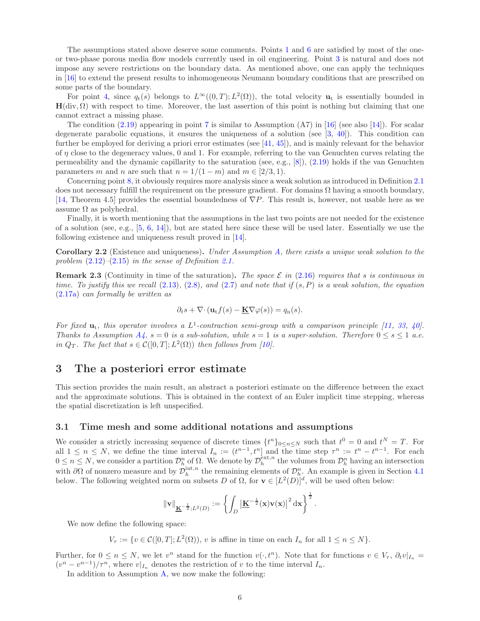The assumptions stated above deserve some comments. Points [1](#page-4-2) and [6](#page-4-3) are satisfied by most of the oneor two-phase porous media flow models currently used in oil engineering. Point [3](#page-4-4) is natural and does not impose any severe restrictions on the boundary data. As mentioned above, one can apply the techniques in [\[16\]](#page-24-2) to extend the present results to inhomogeneous Neumann boundary conditions that are prescribed on some parts of the boundary.

For point [4,](#page-4-5) since  $q_t(s)$  belongs to  $L^{\infty}((0,T); L^2(\Omega))$ , the total velocity  $\mathbf{u}_t$  is essentially bounded in  $H(\text{div}, \Omega)$  with respect to time. Moreover, the last assertion of this point is nothing but claiming that one cannot extract a missing phase.

The condition  $(2.19)$  appearing in point [7](#page-4-7) is similar to Assumption  $(A7)$  in [\[16\]](#page-24-2) (see also [\[14\]](#page-23-5)). For scalar degenerate parabolic equations, it ensures the uniqueness of a solution (see  $[3, 40]$  $[3, 40]$ ). This condition can further be employed for deriving a priori error estimates (see [\[41,](#page-25-11) [45\]](#page-25-12)), and is mainly relevant for the behavior of  $\eta$  close to the degeneracy values, 0 and 1. For example, referring to the van Genuchten curves relating the permeability and the dynamic capillarity to the saturation (see, e.g., [\[8\]](#page-23-2)), [\(2.19\)](#page-4-6) holds if the van Genuchten parameters m and n are such that  $n = 1/(1 - m)$  and  $m \in [2/3, 1)$ .

Concerning point [8,](#page-4-8) it obviously requires more analysis since a weak solution as introduced in Definition [2.1](#page-4-1) does not necessary fulfill the requirement on the pressure gradient. For domains  $\Omega$  having a smooth boundary, [\[14,](#page-23-5) Theorem 4.5] provides the essential boundedness of  $\nabla P$ . This result is, however, not usable here as we assume  $\Omega$  as polyhedral.

Finally, it is worth mentioning that the assumptions in the last two points are not needed for the existence of a solution (see, e.g.,  $[5, 6, 14]$  $[5, 6, 14]$  $[5, 6, 14]$  $[5, 6, 14]$ ), but are stated here since these will be used later. Essentially we use the following existence and uniqueness result proved in [\[14\]](#page-23-5).

Corollary 2.2 (Existence and uniqueness). Under Assumption [A,](#page-4-0) there exists a unique weak solution to the problem  $(2.12)$ – $(2.15)$  in the sense of Definition [2.1.](#page-4-1)

**Remark 2.3** (Continuity in time of the saturation). The space  $\mathcal{E}$  in [\(2.16\)](#page-3-6) requires that s is continuous in time. To justify this we recall  $(2.13)$ ,  $(2.8)$ , and  $(2.7)$  and note that if  $(s, P)$  is a weak solution, the equation [\(2.17a\)](#page-4-9) can formally be written as

$$
\partial_t s + \nabla \cdot (\mathbf{u}_t f(s) - \underline{\mathbf{K}} \nabla \varphi(s)) = q_n(s).
$$

For fixed  $\mathbf{u}_t$ , this operator involves a  $L^1$ -contraction semi-group with a comparison principle [\[11,](#page-23-11) [33,](#page-24-18) [40\]](#page-25-10). Thanks to [A](#page-4-0)ssumption  $A_4$ ,  $s = 0$  is a sub-solution, while  $s = 1$  is a super-solution. Therefore  $0 \le s \le 1$  a.e. in  $Q_T$ . The fact that  $s \in \mathcal{C}([0,T];L^2(\Omega))$  then follows from [\[10\]](#page-23-12).

# <span id="page-5-0"></span>3 The a posteriori error estimate

This section provides the main result, an abstract a posteriori estimate on the difference between the exact and the approximate solutions. This is obtained in the context of an Euler implicit time stepping, whereas the spatial discretization is left unspecified.

# 3.1 Time mesh and some additional notations and assumptions

We consider a strictly increasing sequence of discrete times  $\{t^n\}_{0 \leq n \leq N}$  such that  $t^0 = 0$  and  $t^N = T$ . For all  $1 \leq n \leq N$ , we define the time interval  $I_n := (t^{n-1}, t^n]$  and the time step  $\tau^n := t^n - t^{n-1}$ . For each  $0 \leq n \leq N$ , we consider a partition  $\mathcal{D}_h^n$  of  $\Omega$ . We denote by  $\mathcal{D}_h^{\text{ext},n}$  the volumes from  $\mathcal{D}_h^n$  having an intersection with  $\partial\Omega$  of nonzero measure and by  $\mathcal{D}_h^{\text{int},n}$  the remaining elements of  $\mathcal{D}_h^n$ . An example is given in Section [4.1](#page-8-0) below. The following weighted norm on subsets D of  $\Omega$ , for  $\mathbf{v} \in [L^2(D)]^d$ , will be used often below:

$$
\|\mathbf{v}\|_{\underline{\mathbf{K}}^{-\frac{1}{2}}, L^2(D)} := \left\{ \int_D \left| \underline{\mathbf{K}}^{-\frac{1}{2}}(\mathbf{x}) \mathbf{v}(\mathbf{x}) \right|^2 d\mathbf{x} \right\}^{\frac{1}{2}}.
$$

We now define the following space:

 $V_{\tau} := \{ v \in \mathcal{C}([0,T]; L^2(\Omega)), v \text{ is affine in time on each } I_n \text{ for all } 1 \leq n \leq N \}.$ 

Further, for  $0 \le n \le N$ , we let  $v^n$  stand for the function  $v(\cdot, t^n)$ . Note that for functions  $v \in V_\tau$ ,  $\partial_t v|_{I_n} =$  $(v^n - v^{n-1})/\tau^n$ , where  $v|_{I_n}$  denotes the restriction of v to the time interval  $I_n$ .

In addition to Assumption [A,](#page-4-0) we now make the following: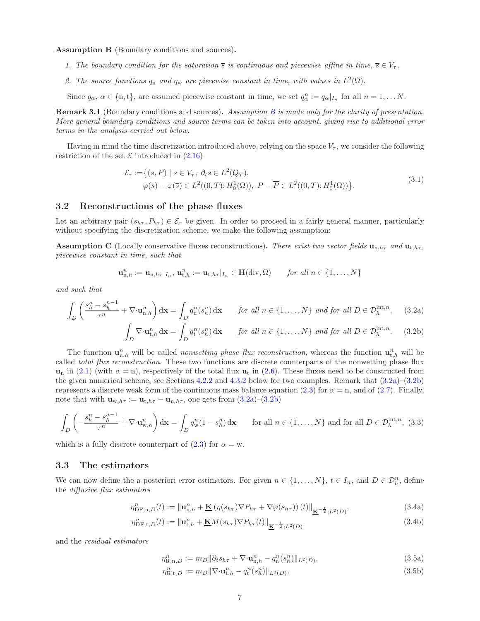<span id="page-6-4"></span><span id="page-6-0"></span>Assumption B (Boundary conditions and sources).

- 1. The boundary condition for the saturation  $\overline{s}$  is continuous and piecewise affine in time,  $\overline{s} \in V_{\tau}$ .
- 2. The source functions  $q_n$  and  $q_w$  are piecewise constant in time, with values in  $L^2(\Omega)$ .

Since  $q_{\alpha}$ ,  $\alpha \in \{n, t\}$ , are assumed piecewise constant in time, we set  $q_{\alpha}^{n} := q_{\alpha}|_{I_{n}}$  for all  $n = 1, \ldots N$ .

<span id="page-6-5"></span>Remark 3.1 ([B](#page-6-0)oundary conditions and sources). Assumption B is made only for the clarity of presentation. More general boundary conditions and source terms can be taken into account, giving rise to additional error terms in the analysis carried out below.

Having in mind the time discretization introduced above, relying on the space  $V_\tau$ , we consider the following restriction of the set  $\mathcal E$  introduced in [\(2.16\)](#page-3-6)

$$
\mathcal{E}_{\tau} := \{ (s, P) \mid s \in V_{\tau}, \ \partial_t s \in L^2(Q_T), \varphi(s) - \varphi(\overline{s}) \in L^2((0, T); H_0^1(\Omega)), \ P - \overline{P} \in L^2((0, T); H_0^1(\Omega)) \}.
$$
\n(3.1)

### <span id="page-6-6"></span>3.2 Reconstructions of the phase fluxes

Let an arbitrary pair  $(s_{h\tau}, P_{h\tau}) \in \mathcal{E}_{\tau}$  be given. In order to proceed in a fairly general manner, particularly without specifying the discretization scheme, we make the following assumption:

<span id="page-6-1"></span>**Assumption C** (Locally conservative fluxes reconstructions). There exist two vector fields  $\mathbf{u}_{n,h\tau}$  and  $\mathbf{u}_{t,h\tau}$ , piecewise constant in time, such that

<span id="page-6-2"></span>
$$
\mathbf{u}_{n,h}^n := \mathbf{u}_{n,h\tau}|_{I_n}, \, \mathbf{u}_{t,h}^n := \mathbf{u}_{t,h\tau}|_{I_n} \in \mathbf{H}(\text{div},\Omega) \qquad \text{for all } n \in \{1,\ldots,N\}
$$

and such that

$$
\int_{D} \left( \frac{s_h^n - s_h^{n-1}}{\tau^n} + \nabla \cdot \mathbf{u}_{n,h}^n \right) d\mathbf{x} = \int_{D} q_n^n(s_h^n) d\mathbf{x} \qquad \text{for all } n \in \{1, \dots, N\} \text{ and for all } D \in \mathcal{D}_h^{\text{int},n}, \tag{3.2a}
$$

<span id="page-6-3"></span>
$$
\int_D \nabla \cdot \mathbf{u}_{t,h}^n \, \mathrm{d} \mathbf{x} = \int_D q_t^n(s_h^n) \, \mathrm{d} \mathbf{x} \qquad \text{for all } n \in \{1, \dots, N\} \text{ and for all } D \in \mathcal{D}_h^{\text{int},n}.\tag{3.2b}
$$

The function  $\mathbf{u}_{n,h}^n$  will be called *nonwetting phase flux reconstruction*, whereas the function  $\mathbf{u}_{t,h}^n$  will be called *total flux reconstruction*. These two functions are discrete counterparts of the nonwetting phase flux  $u_n$  in [\(2.1\)](#page-2-1) (with  $\alpha = n$ ), respectively of the total flux  $u_t$  in [\(2.6\)](#page-2-4). These fluxes need to be constructed from the given numerical scheme, see Sections [4.2.2](#page-9-0) and [4.3.2](#page-10-1) below for two examples. Remark that [\(3.2a\)](#page-6-2)–[\(3.2b\)](#page-6-3) represents a discrete weak form of the continuous mass balance equation [\(2.3\)](#page-2-2) for  $\alpha = n$ , and of [\(2.7\)](#page-2-6). Finally, note that with  $\mathbf{u}_{w,h\tau} := \mathbf{u}_{t,h\tau} - \mathbf{u}_{n,h\tau}$ , one gets from  $(3.2a)-(3.2b)$  $(3.2a)-(3.2b)$ 

$$
\int_{D} \left( -\frac{s_h^n - s_h^{n-1}}{\tau^n} + \nabla \cdot \mathbf{u}_{\mathbf{w},h}^n \right) d\mathbf{x} = \int_{D} q_{\mathbf{w}}^n (1 - s_h^n) d\mathbf{x} \qquad \text{for all } n \in \{1, \dots, N\} \text{ and for all } D \in \mathcal{D}_h^{\text{int},n}, (3.3)
$$

which is a fully discrete counterpart of  $(2.3)$  for  $\alpha = w$ .

## 3.3 The estimators

We can now define the a posteriori error estimators. For given  $n \in \{1, ..., N\}$ ,  $t \in I_n$ , and  $D \in \mathcal{D}_h^n$ , define the diffusive flux estimators

<span id="page-6-7"></span>
$$
\eta_{\text{DF},n,D}^{n}(t) := \left\| \mathbf{u}_{n,h}^{n} + \underline{\mathbf{K}} \left( \eta(s_{h\tau}) \nabla P_{h\tau} + \nabla \varphi(s_{h\tau}) \right)(t) \right\|_{\underline{\mathbf{K}}^{-\frac{1}{2}};L^{2}(D)},\tag{3.4a}
$$

$$
\eta_{\text{DF},t,D}^{n}(t) := \left\| \mathbf{u}_{t,h}^{n} + \underline{\mathbf{K}} M(s_{h\tau}) \nabla P_{h\tau}(t) \right\|_{\underline{\mathbf{K}}^{-\frac{1}{2}};L^{2}(D)}
$$
\n(3.4b)

and the residual estimators

<span id="page-6-10"></span><span id="page-6-9"></span><span id="page-6-8"></span> $\eta_{\text{R},\text{n},D}^n := m_D \|\partial_t s_{h\tau} + \nabla \cdot \mathbf{u}_{\text{n},h}^n - q_{\text{n}}^n(s_h^n) \|_{L^2(D)}$  $(3.5a)$ 

$$
\eta_{\text{R},t,D}^{n} := m_D \|\nabla \cdot \mathbf{u}_{t,h}^{n} - q_t^{n} (s_h^{n})\|_{L^2(D)}.
$$
\n(3.5b)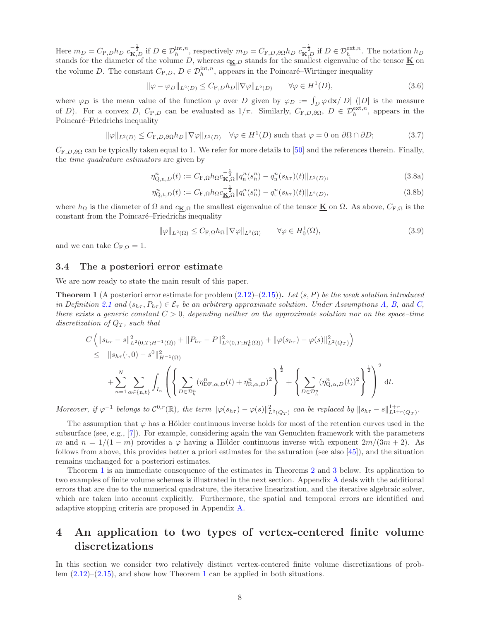Here  $m_D = C_{P,D} h_D \ c_{\underline{K},D}^{-\frac{1}{2}}$  if  $D \in \mathcal{D}_h^{\text{int},n}$ , respectively  $m_D = C_{F,D,\partial\Omega} h_D \ c_{\underline{K},D}^{-\frac{1}{2}}$  if  $D \in \mathcal{D}_h^{\text{ext},n}$ . The notation  $h_D$ stands for the diameter of the volume D, whereas  $c_{\mathbf{K},D}$  stands for the smallest eigenvalue of the tensor  $\underline{\mathbf{K}}$  on the volume D. The constant  $C_{P,D}$ ,  $D \in \mathcal{D}_h^{\text{int},n}$ , appears in the Poincaré–Wirtinger inequality

<span id="page-7-4"></span>
$$
\|\varphi - \varphi_D\|_{L^2(D)} \le C_{P,D} h_D \|\nabla \varphi\|_{L^2(D)} \qquad \forall \varphi \in H^1(D),\tag{3.6}
$$

where  $\varphi_D$  is the mean value of the function  $\varphi$  over D given by  $\varphi_D := \int_D \varphi \, dx / |D|$  (|D| is the measure of D). For a convex D,  $C_{P,D}$  can be evaluated as  $1/\pi$ . Similarly,  $C_{F,D,\partial\Omega}$ ,  $D \in \mathcal{D}_h^{\text{ext},n}$ , appears in the Poincaré–Friedrichs inequality

<span id="page-7-5"></span>
$$
\|\varphi\|_{L^{2}(D)} \leq C_{F,D,\partial\Omega} h_D \|\nabla\varphi\|_{L^{2}(D)} \quad \forall \varphi \in H^{1}(D) \text{ such that } \varphi = 0 \text{ on } \partial\Omega \cap \partial D; \tag{3.7}
$$

 $C_{\text{F},D,\partial\Omega}$  can be typically taken equal to 1. We refer for more details to [\[50\]](#page-25-8) and the references therein. Finally, the time quadrature estimators are given by

<span id="page-7-3"></span>
$$
\eta_{Q,n,D}^{n}(t) := C_{F,\Omega} h_{\Omega} c_{\underline{\mathbf{K}},\Omega}^{-\frac{1}{2}} \| q_{n}^{n}(s_{h}^{n}) - q_{n}^{n}(s_{h\tau})(t) \|_{L^{2}(D)},
$$
\n(3.8a)

$$
\eta_{Q,t,D}^n(t) := C_{F,\Omega} h_{\Omega} c_{\underline{K},\Omega}^{-\frac{1}{2}} \|q_t^n(s_h^n) - q_t^n(s_{h\tau})(t)\|_{L^2(D)},
$$
\n(3.8b)

where  $h_{\Omega}$  is the diameter of  $\Omega$  and  $c_{\mathbf{K},\Omega}$  the smallest eigenvalue of the tensor  $\underline{\mathbf{K}}$  on  $\Omega$ . As above,  $C_{\text{F},\Omega}$  is the constant from the Poincaré–Friedrichs inequality

<span id="page-7-6"></span><span id="page-7-2"></span>
$$
\|\varphi\|_{L^{2}(\Omega)} \leq C_{\mathcal{F},\Omega} h_{\Omega} \|\nabla \varphi\|_{L^{2}(\Omega)} \qquad \forall \varphi \in H_{0}^{1}(\Omega), \tag{3.9}
$$

and we can take  $C_{\text{F},\Omega} = 1$ .

#### 3.4 The a posteriori error estimate

We are now ready to state the main result of this paper.

<span id="page-7-0"></span>**Theorem 1** (A posteriori error estimate for problem  $(2.12)$ – $(2.15)$ ). Let  $(s, P)$  be the weak solution introduced in Definition [2.1](#page-4-1) and  $(s_{h\tau}, P_{h\tau}) \in \mathcal{E}_{\tau}$  be an arbitrary approximate solution. Under Assumptions [A,](#page-4-0) [B,](#page-6-0) and [C,](#page-6-1) there exists a generic constant  $C > 0$ , depending neither on the approximate solution nor on the space–time discretization of  $Q_T$ , such that

$$
C \left( \|s_{h\tau} - s\|_{L^2(0,T;H^{-1}(\Omega))}^2 + \|P_{h\tau} - P\|_{L^2(0,T;H_0^1(\Omega))}^2 + \|\varphi(s_{h\tau}) - \varphi(s)\|_{L^2(Q_T)}^2 \right)
$$
  
\n
$$
\leq \|s_{h\tau}(\cdot,0) - s^0\|_{H^{-1}(\Omega)}^2
$$
  
\n
$$
+ \sum_{n=1}^N \sum_{\alpha \in \{n,t\}} \int_{I_n} \left( \left\{ \sum_{D \in \mathcal{D}_h^n} (\eta_{\text{DF},\alpha,D}^n(t) + \eta_{\text{R},\alpha,D}^n)^2 \right\}^{\frac{1}{2}} + \left\{ \sum_{D \in \mathcal{D}_h^n} (\eta_{Q,\alpha,D}^n(t))^2 \right\}^{\frac{1}{2}} \right)^2 dt.
$$

Moreover, if  $\varphi^{-1}$  belongs to  $\mathcal{C}^{0,r}(\mathbb{R})$ , the term  $\|\varphi(s_{h\tau}) - \varphi(s)\|_{L^2(Q_T)}^2$  can be replaced by  $\|s_{h\tau} - s\|_{L^{1+r}(Q_T)}^{1+r}$ .

The assumption that  $\varphi$  has a Hölder continuous inverse holds for most of the retention curves used in the subsurface (see, e.g., [\[7\]](#page-23-0)). For example, considering again the van Genuchten framework with the parameters m and  $n = 1/(1 - m)$  provides a  $\varphi$  having a Hölder continuous inverse with exponent  $2m/(3m + 2)$ . As follows from above, this provides better a priori estimates for the saturation (see also [\[45\]](#page-25-12)), and the situation remains unchanged for a posteriori estimates.

Theorem [1](#page-7-0) is an immediate consequence of the estimates in Theorems [2](#page-16-0) and [3](#page-17-1) below. Its application to two examples of finite volume schemes is illustrated in the next section. Appendix [A](#page-18-0) deals with the additional errors that are due to the numerical quadrature, the iterative linearization, and the iterative algebraic solver, which are taken into account explicitly. Furthermore, the spatial and temporal errors are identified and adaptive stopping criteria are proposed in Appendix [A.](#page-18-0)

# <span id="page-7-1"></span>4 An application to two types of vertex-centered finite volume discretizations

In this section we consider two relatively distinct vertex-centered finite volume discretizations of problem  $(2.12)$  $(2.12)$  $(2.12)$ – $(2.15)$ , and show how Theorem 1 can be applied in both situations.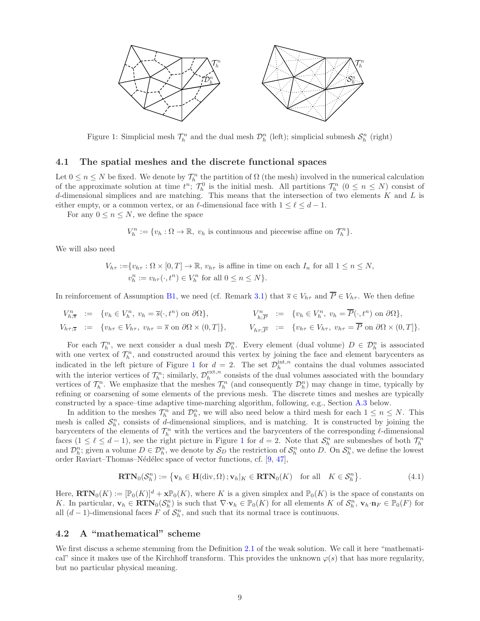

<span id="page-8-1"></span>Figure 1: Simplicial mesh  $\mathcal{T}_h^n$  and the dual mesh  $\mathcal{D}_h^n$  (left); simplicial submesh  $\mathcal{S}_h^n$  (right)

#### <span id="page-8-0"></span>4.1 The spatial meshes and the discrete functional spaces

Let  $0 \le n \le N$  be fixed. We denote by  $\mathcal{T}_h^n$  the partition of  $\Omega$  (the mesh) involved in the numerical calculation of the approximate solution at time  $t^n$ ;  $\mathcal{T}_h^0$  is the initial mesh. All partitions  $\mathcal{T}_h^n$   $(0 \le n \le N)$  consist of d-dimensional simplices and are matching. This means that the intersection of two elements  $K$  and  $L$  is either empty, or a common vertex, or an  $\ell$ -dimensional face with  $1 \leq \ell \leq d-1$ .

For any  $0 \leq n \leq N$ , we define the space

 $V_h^n := \{v_h : \Omega \to \mathbb{R}, v_h \text{ is continuous and piecewise affine on } \mathcal{T}_h^n\}.$ 

We will also need

$$
V_{h\tau} := \{ v_{h\tau} : \Omega \times [0, T] \to \mathbb{R}, v_{h\tau} \text{ is affine in time on each } I_n \text{ for all } 1 \le n \le N, v_h^n := v_{h\tau}(\cdot, t^n) \in V_h^n \text{ for all } 0 \le n \le N \}.
$$

In reinforcement of Assumption [B](#page-6-0)[1,](#page-6-4) we need (cf. Remark [3.1\)](#page-6-5) that  $\overline{s} \in V_{h\tau}$  and  $\overline{P} \in V_{h\tau}$ . We then define

$$
V_{h;\overline{s}}^n := \{ v_h \in V_h^n, v_h = \overline{s}(\cdot, t^n) \text{ on } \partial\Omega \}, \qquad V_{h;\overline{P}}^n := \{ v_h \in V_h^n, v_h = \overline{P}(\cdot, t^n) \text{ on } \partial\Omega \},
$$
  
\n
$$
V_{h\tau;\overline{s}}^n := \{ v_{h\tau} \in V_{h\tau}, v_{h\tau} = \overline{s} \text{ on } \partial\Omega \times (0, T] \}, \qquad V_{h\tau;\overline{P}}^n := \{ v_{h\tau} \in V_{h\tau}, v_{h\tau} = \overline{P} \text{ on } \partial\Omega \times (0, T] \}.
$$

For each  $\mathcal{T}_h^n$ , we next consider a dual mesh  $\mathcal{D}_h^n$ . Every element (dual volume)  $D \in \mathcal{D}_h^n$  is associated with one vertex of  $\mathcal{T}_h^n$ , and constructed around this vertex by joining the face and element barycenters as indicated in the left picture of Figure [1](#page-8-1) for  $d = 2$ . The set  $\mathcal{D}_h^{\text{int},n}$  contains the dual volumes associated with the interior vertices of  $\mathcal{T}_h^n$ ; similarly,  $\mathcal{D}_h^{\text{ext},n}$  consists of the dual volumes associated with the boundary vertices of  $\mathcal{T}_h^n$ . We emphasize that the meshes  $\mathcal{T}_h^n$  (and consequently  $\mathcal{D}_h^n$ ) may change in time, typically by refining or coarsening of some elements of the previous mesh. The discrete times and meshes are typically constructed by a space–time adaptive time-marching algorithm, following, e.g., Section [A.3](#page-22-1) below.

In addition to the meshes  $\mathcal{T}_h^n$  and  $\mathcal{D}_h^n$ , we will also need below a third mesh for each  $1 \leq n \leq N$ . This mesh is called  $S_h^n$ , consists of d-dimensional simplices, and is matching. It is constructed by joining the barycenters of the elements of  $\mathcal{T}_h^n$  with the vertices and the barycenters of the corresponding  $\ell$ -dimensional faces  $(1 \leq \ell \leq d-1)$  $(1 \leq \ell \leq d-1)$  $(1 \leq \ell \leq d-1)$ , see the right picture in Figure 1 for  $d=2$ . Note that  $S_h^n$  are submeshes of both  $\mathcal{T}_h^n$ and  $\mathcal{D}_h^n$ ; given a volume  $D \in \mathcal{D}_h^n$ , we denote by  $\mathcal{S}_D$  the restriction of  $\mathcal{S}_h^n$  onto D. On  $\mathcal{S}_h^n$ , we define the lowest order Raviart–Thomas–N´ed´elec space of vector functions, cf. [\[9,](#page-23-13) [47\]](#page-25-13),

$$
\mathbf{RTN}_0(\mathcal{S}_h^n) := \{ \mathbf{v}_h \in \mathbf{H}(\text{div}, \Omega) \, ; \mathbf{v}_h|_K \in \mathbf{RTN}_0(K) \quad \text{for all} \quad K \in \mathcal{S}_h^n \}. \tag{4.1}
$$

Here,  $\mathbf{RTN}_0(K) := [\mathbb{P}_0(K)]^d + \mathbf{x} \mathbb{P}_0(K)$ , where K is a given simplex and  $\mathbb{P}_0(K)$  is the space of constants on K. In particular,  $\mathbf{v}_h \in \mathbf{RTN}_0(\mathcal{S}_h^n)$  is such that  $\nabla \cdot \mathbf{v}_h \in \mathbb{P}_0(K)$  for all elements K of  $\mathcal{S}_h^n$ ,  $\mathbf{v}_h \cdot \mathbf{n}_F \in \mathbb{P}_0(F)$  for all  $(d-1)$ -dimensional faces F of  $S_h^n$ , and such that its normal trace is continuous.

# 4.2 A "mathematical" scheme

We first discuss a scheme stemming from the Definition [2.1](#page-4-1) of the weak solution. We call it here "mathematical" since it makes use of the Kirchhoff transform. This provides the unknown  $\varphi(s)$  that has more regularity, but no particular physical meaning.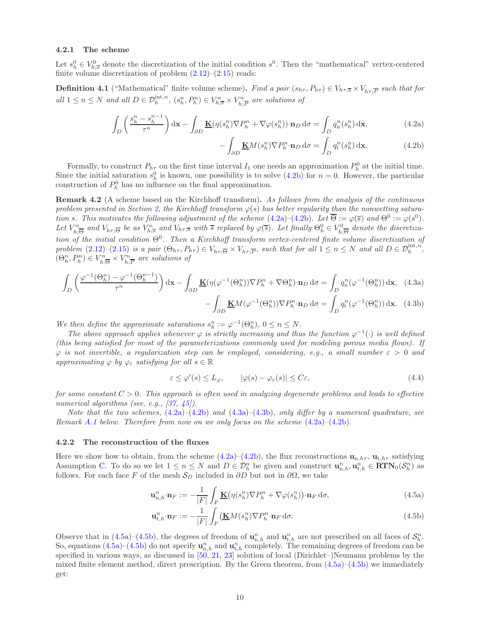#### <span id="page-9-7"></span>4.2.1 The scheme

Let  $s_h^0 \in V_{h,\overline{s}}^0$  denote the discretization of the initial condition  $s^0$ . Then the "mathematical" vertex-centered finite volume discretization of problem  $(2.12)$ – $(2.15)$  reads:

**Definition 4.1** ("Mathematical" finite volume scheme). Find a pair  $(s_{h\tau}, P_{h\tau}) \in V_{h\tau;\overline{S}} \times V_{h\tau;\overline{P}}$  such that for all  $1 \leq n \leq N$  and all  $D \in \mathcal{D}_h^{\text{int},n}$ ,  $(s_h^n, P_h^n) \in V_{h;\overline{s}}^n \times V_h^n$  $\sum_{h,\overline{P}}^{rn}$  are solutions of

$$
\int_{D} \left( \frac{s_h^n - s_h^{n-1}}{\tau^n} \right) d\mathbf{x} - \int_{\partial D} \underline{\mathbf{K}}(\eta(s_h^n) \nabla P_h^n + \nabla \varphi(s_h^n)) \cdot \mathbf{n}_D d\sigma = \int_{D} q_n^n(s_h^n) d\mathbf{x},\tag{4.2a}
$$

<span id="page-9-4"></span><span id="page-9-3"></span><span id="page-9-2"></span><span id="page-9-1"></span>
$$
-\int_{\partial D} \underline{\mathbf{K}} M(s_h^n) \nabla P_h^n \cdot \mathbf{n}_D \, \mathrm{d}\sigma = \int_D q_t^n(s_h^n) \, \mathrm{d}\mathbf{x}.\tag{4.2b}
$$

Formally, to construct  $P_{h\tau}$  on the first time interval  $I_1$  one needs an approximation  $P_h^0$  at the initial time. Since the initial saturation  $s_h^0$  is known, one possibility is to solve [\(4.2b\)](#page-9-1) for  $n = 0$ . However, the particular construction of  $P_h^0$  has no influence on the final approximation.

<span id="page-9-8"></span>**Remark 4.2** (A scheme based on the Kirchhoff transform). As follows from the analysis of the continuous problem presented in Section [2,](#page-1-0) the Kirchhoff transform  $\varphi(s)$  has better regularity than the nonwetting saturation s. This motivates the following adjustment of the scheme  $(4.2a)$ - $(4.2b)$ . Let  $\overline{\Theta} := \varphi(\overline{s})$  and  $\Theta^0 := \varphi(s^0)$ . Let  $V_{\scriptscriptstyle\rm L}^{\scriptscriptstyle n}$  $V^n_{h;\overline{\Theta}}$  and  $V_{h\tau;\overline{\Theta}}$  be as  $V^n_{h;\overline{s}}$  and  $V_{h\tau;\overline{s}}$  with  $\overline{s}$  replaced by  $\varphi(\overline{s})$ . Let finally  $\Theta^0_h \in V^0_{h;\overline{s}}$  $\overline{h}_{h,\overline{\Theta}}^{0}$  denote the discretization of the initial condition  $\Theta^0$ . Then a Kirchhoff transform vertex-centered finite volume discretization of problem  $(2.12)-(2.15)$  $(2.12)-(2.15)$  $(2.12)-(2.15)$  is a pair  $(\Theta_{h\tau}, P_{h\tau}) \in V_{h\tau, \overline{\Theta}} \times V_{h\tau, \overline{P}}$ , such that for all  $1 \leq n \leq N$  and all  $D \in \mathcal{D}_h^{\text{int}, n}$ ,  $(\Theta_h^n, P_h^n) \in V_h^n$  $V^n_{h;\overline{\Theta}} \times V^n_{h;\overline{\Theta}}$  $\sum_{h,\overline{P}}^{r_n}$  are solutions of

$$
\int_{D} \left( \frac{\varphi^{-1}(\Theta_{h}^{n}) - \varphi^{-1}(\Theta_{h}^{n-1})}{\tau^{n}} \right) d\mathbf{x} - \int_{\partial D} \underline{\mathbf{K}}(\eta(\varphi^{-1}(\Theta_{h}^{n})) \nabla P_{h}^{n} + \nabla \Theta_{h}^{n}) \cdot \mathbf{n}_{D} d\sigma = \int_{D} q_{n}^{n}(\varphi^{-1}(\Theta_{h}^{n})) d\mathbf{x}, \quad (4.3a)
$$

$$
- \int_{\partial D} \underline{\mathbf{K}}M(\varphi^{-1}(\Theta_{h}^{n})) \nabla P_{h}^{n} \cdot \mathbf{n}_{D} d\sigma = \int_{D} q_{t}^{n}(\varphi^{-1}(\Theta_{h}^{n})) d\mathbf{x}. \quad (4.3b)
$$

We then define the approximate saturations  $s_n^n := \varphi^{-1}(\Theta_h^n)$ ,  $0 \le n \le N$ .

The above approach applies whenever  $\varphi$  is strictly increasing and thus the function  $\varphi^{-1}(\cdot)$  is well defined (this being satisfied for most of the parameterizations commonly used for modeling porous media flows). If  $\varphi$  is not invertible, a regularization step can be employed, considering, e.g., a small number  $\varepsilon > 0$  and approximating  $\varphi$  by  $\varphi_{\varepsilon}$  satisfying for all  $s \in \mathbb{R}$ 

$$
\varepsilon \le \varphi'(s) \le L_{\varphi}, \qquad |\varphi(s) - \varphi_{\varepsilon}(s)| \le C\varepsilon, \tag{4.4}
$$

for some constant  $C > 0$ . This approach is often used in analyzing degenerate problems and leads to effective numerical algorithms (see, e.g., [\[37,](#page-25-14) [45\]](#page-25-12)).

Note that the two schemes,  $(4.2a)$ – $(4.2b)$  and  $(4.3a)$ – $(4.3b)$ , only differ by a numerical quadrature, see Remark [A.1](#page-18-1) below. Therefore from now on we only focus on the scheme  $(4.2a)$ – $(4.2b)$ .

#### <span id="page-9-0"></span>4.2.2 The reconstruction of the fluxes

Here we show how to obtain, from the scheme [\(4.2a\)](#page-9-2)–[\(4.2b\)](#page-9-1), the flux reconstructions  $\mathbf{u}_{n,h\tau}$ ,  $\mathbf{u}_{t,h\tau}$  satisfying Assumption [C.](#page-6-1) To do so we let  $1 \le n \le N$  and  $D \in \mathcal{D}_h^n$  be given and construct  $\mathbf{u}_{n,h}^n, \mathbf{u}_{t,h}^n \in \mathbf{RTN}_0(\mathcal{S}_h^n)$  as follows. For each face F of the mesh  $S_D$  included in  $\partial D$  but not in  $\partial \Omega$ , we take

<span id="page-9-5"></span>
$$
\mathbf{u}_{n,h}^n \cdot \mathbf{n}_F := -\frac{1}{|F|} \int_F \mathbf{K} \big( \eta(s_h^n) \nabla P_h^n + \nabla \varphi(s_h^n) \big) \cdot \mathbf{n}_F \, \mathrm{d}\sigma,\tag{4.5a}
$$

<span id="page-9-6"></span>
$$
\mathbf{u}_{t,h}^n \cdot \mathbf{n}_F := -\frac{1}{|F|} \int_F \left( \mathbf{\underline{K}} M(s_h^n) \nabla P_h^n \cdot \mathbf{n}_F \, \mathrm{d}\sigma. \right) \tag{4.5b}
$$

Observe that in [\(4.5a\)](#page-9-5)–[\(4.5b\)](#page-9-6), the degrees of freedom of  $\mathbf{u}_{n,h}^n$  and  $\mathbf{u}_{t,h}^n$  are not prescribed on all faces of  $\mathcal{S}_h^n$ . So, equations  $(4.5a)$ – $(4.5b)$  do not specify  $\mathbf{u}_{n,h}^n$  and  $\mathbf{u}_{t,h}^n$  completely. The remaining degrees of freedom can be specified in various ways, as discussed in  $[50, 21, 23]$  $[50, 21, 23]$  $[50, 21, 23]$  $[50, 21, 23]$  solution of local (Dirichlet–)Neumann problems by the mixed finite element method, direct prescription. By the Green theorem, from  $(4.5a)-(4.5b)$  $(4.5a)-(4.5b)$  we immediately get: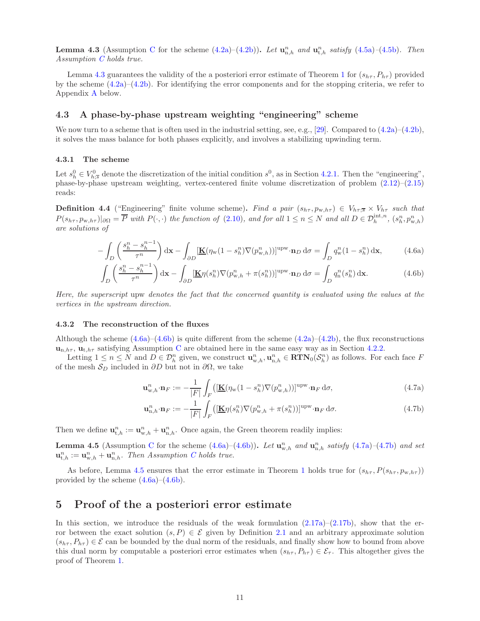<span id="page-10-2"></span>**Lemma 4.3** (Assumption [C](#page-6-1) for the scheme  $(4.2a)-(4.2b)$  $(4.2a)-(4.2b)$ ). Let  $\mathbf{u}_{n,h}^n$  and  $\mathbf{u}_{t,h}^n$  satisfy  $(4.5a)-(4.5b)$  $(4.5a)-(4.5b)$  $(4.5a)-(4.5b)$ . Then Assumption [C](#page-6-1) holds true.

Lemma [4.3](#page-10-2) guarantees the validity of the a posteriori error estimate of Theorem [1](#page-7-0) for  $(s_{h\tau}, P_{h\tau})$  provided by the scheme  $(4.2a)$ – $(4.2b)$ . For identifying the error components and for the stopping criteria, we refer to Appendix [A](#page-18-0) below.

## 4.3 A phase-by-phase upstream weighting "engineering" scheme

We now turn to a scheme that is often used in the industrial setting, see, e.g., [\[29\]](#page-24-7). Compared to  $(4.2a)$ – $(4.2b)$ , it solves the mass balance for both phases explicitly, and involves a stabilizing upwinding term.

#### 4.3.1 The scheme

Let  $s_h^0 \in V_{h;\overline{s}}^0$  denote the discretization of the initial condition  $s^0$ , as in Section [4.2.1.](#page-9-7) Then the "engineering", phase-by-phase upstream weighting, vertex-centered finite volume discretization of problem [\(2.12\)](#page-3-1)–[\(2.15\)](#page-3-4) reads:

**Definition 4.4** ("Engineering" finite volume scheme). Find a pair  $(s_{h\tau}, p_{w,h\tau}) \in V_{h\tau}$ ;  $\times V_{h\tau}$  such that  $P(s_{h\tau}, p_{w,h\tau})|_{\partial\Omega} = \overline{P}$  with  $P(\cdot, \cdot)$  the function of [\(2.10\)](#page-3-7), and for all  $1 \le n \le N$  and all  $D \in \mathcal{D}_h^{\text{int},n}$ ,  $(s_h^n, p_{w,h}^n)$ are solutions of

$$
-\int_{D} \left(\frac{s_h^n - s_h^{n-1}}{\tau^n}\right) d\mathbf{x} - \int_{\partial D} \left[\underline{\mathbf{K}}(\eta_{\mathbf{w}}(1 - s_h^n) \nabla(p_{\mathbf{w},h}^n))\right]^{\text{upw}} \cdot \mathbf{n}_D d\sigma = \int_{D} q_{\mathbf{w}}^n (1 - s_h^n) d\mathbf{x},\tag{4.6a}
$$

$$
\int_{D} \left( \frac{s_h^n - s_h^{n-1}}{\tau^n} \right) dx - \int_{\partial D} \left[ \underline{\mathbf{K}} \eta(s_h^n) \nabla (p_{\mathbf{w},h}^n + \pi(s_h^n)) \right]^{upw} \cdot \mathbf{n}_D d\sigma = \int_{D} q_n^n(s_h^n) dx. \tag{4.6b}
$$

Here, the superscript upw denotes the fact that the concerned quantity is evaluated using the values at the vertices in the upstream direction.

#### <span id="page-10-1"></span>4.3.2 The reconstruction of the fluxes

Although the scheme  $(4.6a)$ – $(4.6b)$  is quite different from the scheme  $(4.2a)$ – $(4.2b)$ , the flux reconstructions  $\mathbf{u}_{n,h\tau}$ ,  $\mathbf{u}_{t,h\tau}$  satisfying Assumption [C](#page-6-1) are obtained here in the same easy way as in Section [4.2.2.](#page-9-0)

Letting  $1 \leq n \leq N$  and  $D \in \mathcal{D}_h^n$  given, we construct  $\mathbf{u}_{w,h}^n, \mathbf{u}_{n,h}^n \in \mathbf{RTN}_0(\mathcal{S}_h^n)$  as follows. For each face F of the mesh  $S_D$  included in ∂D but not in ∂ $\Omega$ , we take

<span id="page-10-4"></span><span id="page-10-3"></span>
$$
\mathbf{u}_{\mathbf{w},h}^{n} \cdot \mathbf{n}_{F} := -\frac{1}{|F|} \int_{F} \left( \left[ \underline{\mathbf{K}} (\eta_{\mathbf{w}} (1 - s_{h}^{n}) \nabla (p_{\mathbf{w},h}^{n})) \right]^{\text{upw}} \cdot \mathbf{n}_{F} \, \mathrm{d}\sigma, \right)
$$
(4.7a)

<span id="page-10-6"></span><span id="page-10-5"></span>
$$
\mathbf{u}_{n,h}^{n} \cdot \mathbf{n}_{F} := -\frac{1}{|F|} \int_{F} \left( [\underline{\mathbf{K}} \eta(s_{h}^{n}) \nabla (p_{w,h}^{n} + \pi(s_{h}^{n}))]^{upw} \cdot \mathbf{n}_{F} \, \mathrm{d}\sigma. \right) \tag{4.7b}
$$

Then we define  $\mathbf{u}_{t,h}^n := \mathbf{u}_{w,h}^n + \mathbf{u}_{n,h}^n$ . Once again, the Green theorem readily implies:

<span id="page-10-7"></span>**Lemma 4.5** (Assumption [C](#page-6-1) for the scheme  $(4.6a)$ – $(4.6b)$ ). Let  $\mathbf{u}_{w,h}^n$  and  $\mathbf{u}_{n,h}^n$  satisfy  $(4.7a)$ – $(4.7b)$  and set  $\mathbf{u}_{t,h}^n := \mathbf{u}_{w,h}^n + \mathbf{u}_{n,h}^n$ . Then Assumption [C](#page-6-1) holds true.

As before, Lemma [4.5](#page-10-7) ensures that the error estimate in Theorem [1](#page-7-0) holds true for  $(s_{h\tau}, P(s_{h\tau}, p_{w,h\tau}))$ provided by the scheme  $(4.6a)$ – $(4.6b)$ .

# <span id="page-10-0"></span>5 Proof of the a posteriori error estimate

In this section, we introduce the residuals of the weak formulation  $(2.17a)$ – $(2.17b)$ , show that the error between the exact solution  $(s, P) \in \mathcal{E}$  given by Definition [2.1](#page-4-1) and an arbitrary approximate solution  $(s_{h\tau}, P_{h\tau}) \in \mathcal{E}$  can be bounded by the dual norm of the residuals, and finally show how to bound from above this dual norm by computable a posteriori error estimates when  $(s_{h\tau}, P_{h\tau}) \in \mathcal{E}_{\tau}$ . This altogether gives the proof of Theorem [1.](#page-7-0)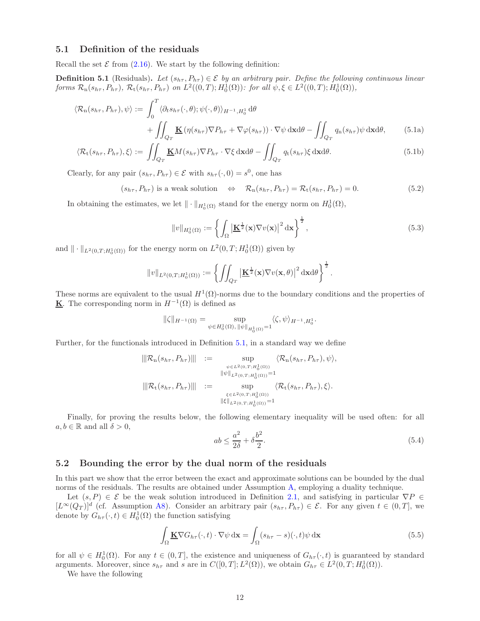### <span id="page-11-0"></span>5.1 Definition of the residuals

Recall the set  $\mathcal E$  from [\(2.16\)](#page-3-6). We start by the following definition:

<span id="page-11-2"></span>**Definition 5.1** (Residuals). Let  $(s_{h\tau}, P_{h\tau}) \in \mathcal{E}$  by an arbitrary pair. Define the following continuous linear forms  $\mathcal{R}_n(s_{h\tau}, P_{h\tau})$ ,  $\mathcal{R}_t(s_{h\tau}, P_{h\tau})$  on  $L^2((0,T); H_0^1(\Omega))$ : for all  $\psi, \xi \in L^2((0,T); H_0^1(\Omega))$ ,

$$
\langle \mathcal{R}_{n}(s_{h\tau}, P_{h\tau}), \psi \rangle := \int_{0}^{T} \langle \partial_{t} s_{h\tau}(\cdot, \theta); \psi(\cdot, \theta) \rangle_{H^{-1}, H_{0}^{1}} d\theta + \iint_{Q_{T}} \underline{\mathbf{K}} \left( \eta(s_{h\tau}) \nabla P_{h\tau} + \nabla \varphi(s_{h\tau}) \right) \cdot \nabla \psi \, d\mathbf{x} d\theta - \iint_{Q_{T}} q_{n}(s_{h\tau}) \psi \, d\mathbf{x} d\theta, \tag{5.1a}
$$

$$
\langle \mathcal{R}_{t}(s_{h\tau}, P_{h\tau}), \xi \rangle := \iint_{Q_{T}} \underline{\mathbf{K}} M(s_{h\tau}) \nabla P_{h\tau} \cdot \nabla \xi \, d\mathbf{x} d\theta - \iint_{Q_{T}} q_{t}(s_{h\tau}) \xi \, d\mathbf{x} d\theta.
$$
 (5.1b)

Clearly, for any pair  $(s_{h\tau}, P_{h\tau}) \in \mathcal{E}$  with  $s_{h\tau}(\cdot, 0) = s^0$ , one has

<span id="page-11-5"></span> $(s_{h\tau}, P_{h\tau})$  is a weak solution  $\Leftrightarrow \mathcal{R}_n(s_{h\tau}, P_{h\tau}) = \mathcal{R}_t(s_{h\tau}, P_{h\tau}) = 0.$  (5.2)

In obtaining the estimates, we let  $\|\cdot\|_{H_0^1(\Omega)}$  stand for the energy norm on  $H_0^1(\Omega)$ ,

<span id="page-11-8"></span><span id="page-11-6"></span><span id="page-11-3"></span>
$$
||v||_{H_0^1(\Omega)} := \left\{ \int_{\Omega} \left| \underline{\mathbf{K}}^{\frac{1}{2}}(\mathbf{x}) \nabla v(\mathbf{x}) \right|^2 d\mathbf{x} \right\}^{\frac{1}{2}},\tag{5.3}
$$

and  $\| \cdot \|_{L^2(0,T;H^1_0(\Omega))}$  for the energy norm on  $L^2(0,T;H^1_0(\Omega))$  given by

$$
||v||_{L^2(0,T;H_0^1(\Omega))} := \left\{ \iint_{Q_T} \left| \underline{\mathbf{K}}^{\frac{1}{2}}(\mathbf{x}) \nabla v(\mathbf{x},\theta) \right|^2 d\mathbf{x} d\theta \right\}^{\frac{1}{2}}.
$$

These norms are equivalent to the usual  $H^1(\Omega)$ -norms due to the boundary conditions and the properties of **K**. The corresponding norm in  $H^{-1}(\Omega)$  is defined as

$$
\|\zeta\|_{H^{-1}(\Omega)} = \sup_{\psi \in H_0^1(\Omega), \|\psi\|_{H_0^1(\Omega)} = 1} \langle \zeta, \psi \rangle_{H^{-1}, H_0^1}.
$$

Further, for the functionals introduced in Definition [5.1,](#page-11-2) in a standard way we define

$$
\|\mathcal{R}_{n}(s_{h\tau}, P_{h\tau})\| := \sup_{\psi \in L^{2}(0,T;H_{0}^{1}(\Omega)) \atop \|\psi\|_{L^{2}(0,T;H_{0}^{1}(\Omega))}=1} \langle \mathcal{R}_{n}(s_{h\tau}, P_{h\tau}), \psi \rangle,
$$
  

$$
\|\mathcal{R}_{t}(s_{h\tau}, P_{h\tau})\| := \sup_{\xi \in L^{2}(0,T;H_{0}^{1}(\Omega)) \atop \|\xi\|_{L^{2}(0,T;H_{0}^{1}(\Omega))}=1} \langle \mathcal{R}_{t}(s_{h\tau}, P_{h\tau}), \xi \rangle.
$$

Finally, for proving the results below, the following elementary inequality will be used often: for all  $a, b \in \mathbb{R}$  and all  $\delta > 0$ ,

<span id="page-11-7"></span>
$$
ab \le \frac{a^2}{2\delta} + \delta \frac{b^2}{2}.\tag{5.4}
$$

#### <span id="page-11-1"></span>5.2 Bounding the error by the dual norm of the residuals

In this part we show that the error between the exact and approximate solutions can be bounded by the dual norms of the residuals. The results are obtained under Assumption [A,](#page-4-0) employing a duality technique.

Let  $(s, P) \in \mathcal{E}$  be the weak solution introduced in Definition [2.1,](#page-4-1) and satisfying in particular  $\nabla P \in$  $[L^{\infty}(Q_T)]^d$  (cf. [A](#page-4-0)ssumption A[8\)](#page-4-8). Consider an arbitrary pair  $(s_{h\tau}, P_{h\tau}) \in \mathcal{E}$ . For any given  $t \in (0,T]$ , we denote by  $G_{h\tau}(\cdot,t) \in H_0^1(\Omega)$  the function satisfying

<span id="page-11-4"></span>
$$
\int_{\Omega} \underline{\mathbf{K}} \nabla G_{h\tau}(\cdot, t) \cdot \nabla \psi \, \mathrm{d}\mathbf{x} = \int_{\Omega} (s_{h\tau} - s)(\cdot, t) \psi \, \mathrm{d}\mathbf{x} \tag{5.5}
$$

for all  $\psi \in H_0^1(\Omega)$ . For any  $t \in (0,T]$ , the existence and uniqueness of  $G_{h\tau}(\cdot,t)$  is guaranteed by standard arguments. Moreover, since  $s_{h\tau}$  and s are in  $C([0,T];L^2(\Omega))$ , we obtain  $G_{h\tau} \in L^2(0,T;H_0^1(\Omega))$ .

We have the following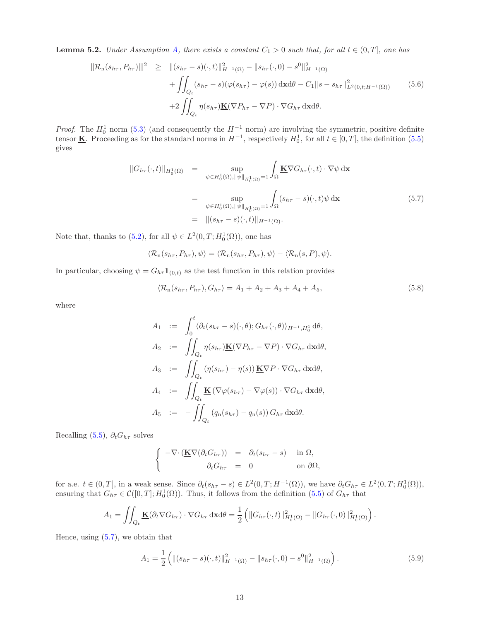<span id="page-12-4"></span>**Lemma 5.2.** Under Assumption [A,](#page-4-0) there exists a constant  $C_1 > 0$  such that, for all  $t \in (0, T]$ , one has

<span id="page-12-3"></span>
$$
\|\mathcal{R}_{n}(s_{h\tau}, P_{h\tau})\|^{2} \geq \| (s_{h\tau} - s)(\cdot, t) \|_{H^{-1}(\Omega)}^{2} - \|s_{h\tau}(\cdot, 0) - s^{0} \|_{H^{-1}(\Omega)}^{2}
$$
  
+ 
$$
\iint_{Q_{t}} (s_{h\tau} - s)(\varphi(s_{h\tau}) - \varphi(s)) d\mathbf{x} d\theta - C_{1} \|s - s_{h\tau} \|_{L^{2}(0, t; H^{-1}(\Omega))}^{2}
$$
  
+ 
$$
2 \iint_{Q_{t}} \eta(s_{h\tau}) \underline{\mathbf{K}}(\nabla P_{h\tau} - \nabla P) \cdot \nabla G_{h\tau} d\mathbf{x} d\theta.
$$
 (5.6)

*Proof.* The  $H_0^1$  norm [\(5.3\)](#page-11-3) (and consequently the  $H^{-1}$  norm) are involving the symmetric, positive definite tensor **K**. Proceeding as for the standard norms in  $H^{-1}$ , respectively  $H_0^1$ , for all  $t \in [0, T]$ , the definition  $(5.5)$ gives

<span id="page-12-0"></span>
$$
||G_{h\tau}(\cdot,t)||_{H_0^1(\Omega)} = \sup_{\psi \in H_0^1(\Omega), ||\psi||_{H_0^1(\Omega)} = 1} \int_{\Omega} \underline{\mathbf{K}} \nabla G_{h\tau}(\cdot,t) \cdot \nabla \psi \,d\mathbf{x}
$$
  

$$
= \sup_{\psi \in H_0^1(\Omega), ||\psi||_{H_0^1(\Omega)} = 1} \int_{\Omega} (s_{h\tau} - s)(\cdot,t)\psi \,d\mathbf{x}
$$
  

$$
= ||(s_{h\tau} - s)(\cdot,t)||_{H^{-1}(\Omega)}.
$$
 (5.7)

Note that, thanks to [\(5.2\)](#page-11-5), for all  $\psi \in L^2(0,T; H_0^1(\Omega))$ , one has

$$
\langle \mathcal{R}_{n}(s_{h\tau}, P_{h\tau}), \psi \rangle = \langle \mathcal{R}_{n}(s_{h\tau}, P_{h\tau}), \psi \rangle - \langle \mathcal{R}_{n}(s, P), \psi \rangle.
$$

In particular, choosing  $\psi = G_{h\tau} \mathbf{1}_{(0,t)}$  as the test function in this relation provides

<span id="page-12-2"></span>
$$
\langle \mathcal{R}_n(s_{h\tau}, P_{h\tau}), G_{h\tau} \rangle = A_1 + A_2 + A_3 + A_4 + A_5,
$$
\n(5.8)

where

$$
A_1 := \int_0^t \langle \partial_t (s_{h\tau} - s)(\cdot, \theta); G_{h\tau} (\cdot, \theta) \rangle_{H^{-1}, H_0^1} d\theta,
$$
  
\n
$$
A_2 := \iint_{Q_t} \eta(s_{h\tau}) \underline{\mathbf{K}} (\nabla P_{h\tau} - \nabla P) \cdot \nabla G_{h\tau} d\mathbf{x} d\theta,
$$
  
\n
$$
A_3 := \iint_{Q_t} (\eta(s_{h\tau}) - \eta(s)) \underline{\mathbf{K}} \nabla P \cdot \nabla G_{h\tau} d\mathbf{x} d\theta,
$$
  
\n
$$
A_4 := \iint_{Q_t} \underline{\mathbf{K}} (\nabla \varphi(s_{h\tau}) - \nabla \varphi(s)) \cdot \nabla G_{h\tau} d\mathbf{x} d\theta,
$$
  
\n
$$
A_5 := - \iint_{Q_t} (q_n(s_{h\tau}) - q_n(s)) G_{h\tau} d\mathbf{x} d\theta.
$$

Recalling [\(5.5\)](#page-11-4),  $\partial_t G_{h\tau}$  solves

$$
\begin{cases}\n-\nabla \cdot (\underline{\mathbf{K}} \nabla (\partial_t G_{h\tau})) = \partial_t (s_{h\tau} - s) & \text{in } \Omega, \\
\partial_t G_{h\tau} = 0 & \text{on } \partial \Omega,\n\end{cases}
$$

for a.e.  $t \in (0,T]$ , in a weak sense. Since  $\partial_t(s_{h\tau} - s) \in L^2(0,T;H^{-1}(\Omega))$ , we have  $\partial_t G_{h\tau} \in L^2(0,T;H_0^1(\Omega))$ , ensuring that  $G_{h\tau} \in \mathcal{C}([0,T];H_0^1(\Omega))$ . Thus, it follows from the definition [\(5.5\)](#page-11-4) of  $G_{h\tau}$  that

$$
A_1 = \iint_{Q_t} \underline{\mathbf{K}}(\partial_t \nabla G_{h\tau}) \cdot \nabla G_{h\tau} \, \mathrm{d}\mathbf{x} \mathrm{d}\theta = \frac{1}{2} \left( \|G_{h\tau}(\cdot, t)\|_{H_0^1(\Omega)}^2 - \|G_{h\tau}(\cdot, 0)\|_{H_0^1(\Omega)}^2 \right)
$$

Hence, using  $(5.7)$ , we obtain that

<span id="page-12-1"></span>
$$
A_1 = \frac{1}{2} \left( \| (s_{h\tau} - s)(\cdot, t) \|_{H^{-1}(\Omega)}^2 - \| s_{h\tau}(\cdot, 0) - s^0 \|_{H^{-1}(\Omega)}^2 \right).
$$
 (5.9)

.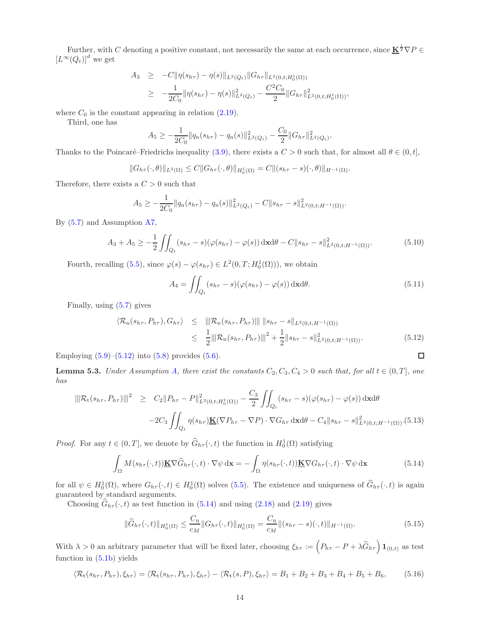Further, with C denoting a positive constant, not necessarily the same at each occurrence, since  $\underline{\mathbf{K}}^{\frac{1}{2}}\nabla P \in$  $\left[L^{\infty}(Q_t)\right]^d$  we get

$$
A_3 \geq -C \|\eta(s_{h\tau}) - \eta(s)\|_{L^2(Q_t)} \|G_{h\tau}\|_{L^2(0,t;H_0^1(\Omega))}
$$
  
 
$$
\geq -\frac{1}{2C_0} \|\eta(s_{h\tau}) - \eta(s)\|_{L^2(Q_t)}^2 - \frac{C^2 C_0}{2} \|G_{h\tau}\|_{L^2(0,t;H_0^1(\Omega))}^2,
$$

where  $C_0$  is the constant appearing in relation  $(2.19)$ .

Third, one has

$$
A_5 \geq -\frac{1}{2C_0} \|q_n(s_{h\tau}) - q_n(s)\|_{L^2(Q_t)}^2 - \frac{C_0}{2} \|G_{h\tau}\|_{L^2(Q_t)}^2.
$$

Thanks to the Poincaré–Friedrichs inequality [\(3.9\)](#page-7-2), there exists a  $C > 0$  such that, for almost all  $\theta \in (0, t]$ ,

$$
||G_{h\tau}(\cdot,\theta)||_{L^2(\Omega)} \leq C||G_{h\tau}(\cdot,\theta)||_{H_0^1(\Omega)} = C||(s_{h\tau}-s)(\cdot,\theta)||_{H^{-1}(\Omega)}.
$$

Therefore, there exists a  $C > 0$  such that

$$
A_5 \geq -\frac{1}{2C_0} \|q_n(s_{h\tau}) - q_n(s)\|_{L^2(Q_t)}^2 - C \|s_{h\tau} - s\|_{L^2(0,t;H^{-1}(\Omega))}^2.
$$

By [\(5.7\)](#page-12-0) and Assumption [A](#page-4-0)[7,](#page-4-7)

$$
A_3 + A_5 \ge -\frac{1}{2} \iint_{Q_t} (s_{h\tau} - s)(\varphi(s_{h\tau}) - \varphi(s)) \, \mathrm{d}x \mathrm{d}\theta - C \|s_{h\tau} - s\|_{L^2(0, t; H^{-1}(\Omega))}^2. \tag{5.10}
$$

Fourth, recalling [\(5.5\)](#page-11-4), since  $\varphi(s) - \varphi(s_{h\tau}) \in L^2(0,T; H_0^1(\Omega))$ , we obtain

$$
A_4 = \iint_{Q_t} (s_{h\tau} - s)(\varphi(s_{h\tau}) - \varphi(s)) \, \mathrm{d}x \mathrm{d}\theta. \tag{5.11}
$$

 $\Box$ 

Finally, using [\(5.7\)](#page-12-0) gives

<span id="page-13-0"></span>
$$
\langle \mathcal{R}_{n}(s_{h\tau}, P_{h\tau}), G_{h\tau} \rangle \leq ||| \mathcal{R}_{n}(s_{h\tau}, P_{h\tau}) ||| ||s_{h\tau} - s||_{L^{2}(0, t; H^{-1}(\Omega))}
$$
  

$$
\leq \frac{1}{2} ||| \mathcal{R}_{n}(s_{h\tau}, P_{h\tau}) |||^{2} + \frac{1}{2} ||s_{h\tau} - s||_{L^{2}(0, t; H^{-1}(\Omega))}^{2}.
$$
 (5.12)

Employing  $(5.9)$ – $(5.12)$  into  $(5.8)$  provides  $(5.6)$ .

<span id="page-13-5"></span>**Lemma 5.3.** Under Assumption [A,](#page-4-0) there exist the constants  $C_2$ ,  $C_3$ ,  $C_4 > 0$  such that, for all  $t \in (0, T]$ , one has

<span id="page-13-4"></span>
$$
\|\mathcal{R}_{t}(s_{h\tau}, P_{h\tau})\|^{2} \geq C_{2} \|P_{h\tau} - P\|_{L^{2}(0, t; H_{0}^{1}(\Omega))}^{2} - \frac{C_{3}}{2} \iint_{Q_{t}} (s_{h\tau} - s)(\varphi(s_{h\tau}) - \varphi(s)) \,d\mathbf{x}d\theta
$$

$$
-2C_{3} \iint_{Q_{t}} \eta(s_{h\tau}) \underline{\mathbf{K}}(\nabla P_{h\tau} - \nabla P) \cdot \nabla G_{h\tau} \,d\mathbf{x}d\theta - C_{4} \|s_{h\tau} - s\|_{L^{2}(0, t; H^{-1}(\Omega))}^{2} \cdot (5.13)
$$

*Proof.* For any  $t \in (0, T]$ , we denote by  $\widehat{G}_{h\tau}(\cdot, t)$  the function in  $H_0^1(\Omega)$  satisfying

<span id="page-13-1"></span>
$$
\int_{\Omega} M(s_{h\tau}(\cdot,t)) \underline{\mathbf{K}} \nabla \widehat{G}_{h\tau}(\cdot,t) \cdot \nabla \psi \, \mathrm{d}\mathbf{x} = -\int_{\Omega} \eta(s_{h\tau}(\cdot,t)) \underline{\mathbf{K}} \nabla G_{h\tau}(\cdot,t) \cdot \nabla \psi \, \mathrm{d}\mathbf{x}
$$
\n(5.14)

for all  $\psi \in H_0^1(\Omega)$ , where  $G_{h\tau}(\cdot, t) \in H_0^1(\Omega)$  solves [\(5.5\)](#page-11-4). The existence and uniqueness of  $\widehat{G}_{h\tau}(\cdot, t)$  is again guaranteed by standard arguments.

Choosing  $\widehat{G}_{h\tau}(\cdot,t)$  as test function in [\(5.14\)](#page-13-1) and using [\(2.18\)](#page-4-11) and [\(2.19\)](#page-4-6) gives

<span id="page-13-2"></span>
$$
\|\widehat{G}_{h\tau}(\cdot,t)\|_{H_0^1(\Omega)} \le \frac{C_\eta}{c_M} \|G_{h\tau}(\cdot,t)\|_{H_0^1(\Omega)} = \frac{C_\eta}{c_M} \|(s_{h\tau} - s)(\cdot,t)\|_{H^{-1}(\Omega)}.
$$
\n(5.15)

With  $\lambda > 0$  an arbitrary parameter that will be fixed later, choosing  $\xi_{h\tau} := \left(P_{h\tau} - P + \lambda \widehat{G}_{h\tau}\right) \mathbf{1}_{(0,t)}$  as test function in [\(5.1b\)](#page-11-6) yields

<span id="page-13-3"></span>
$$
\langle \mathcal{R}_{\mathbf{t}}(s_{h\tau}, P_{h\tau}), \xi_{h\tau} \rangle = \langle \mathcal{R}_{\mathbf{t}}(s_{h\tau}, P_{h\tau}), \xi_{h\tau} \rangle - \langle \mathcal{R}_{\mathbf{t}}(s, P), \xi_{h\tau} \rangle = B_1 + B_2 + B_3 + B_4 + B_5 + B_6, \tag{5.16}
$$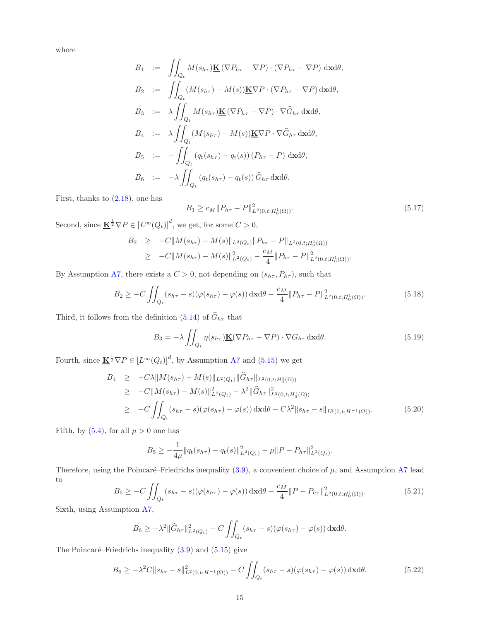where

$$
B_1 := \iint_{Q_t} M(s_{h\tau}) \underline{\mathbf{K}} (\nabla P_{h\tau} - \nabla P) \cdot (\nabla P_{h\tau} - \nabla P) d\mathbf{x} d\theta,
$$
  
\n
$$
B_2 := \iint_{Q_t} (M(s_{h\tau}) - M(s)) \underline{\mathbf{K}} \nabla P \cdot (\nabla P_{h\tau} - \nabla P) d\mathbf{x} d\theta,
$$
  
\n
$$
B_3 := \lambda \iint_{Q_t} M(s_{h\tau}) \underline{\mathbf{K}} (\nabla P_{h\tau} - \nabla P) \cdot \nabla \widehat{G}_{h\tau} d\mathbf{x} d\theta,
$$
  
\n
$$
B_4 := \lambda \iint_{Q_t} (M(s_{h\tau}) - M(s)) \underline{\mathbf{K}} \nabla P \cdot \nabla \widehat{G}_{h\tau} d\mathbf{x} d\theta,
$$
  
\n
$$
B_5 := - \iint_{Q_t} (q_t(s_{h\tau}) - q_t(s)) (P_{h\tau} - P) d\mathbf{x} d\theta,
$$
  
\n
$$
B_6 := -\lambda \iint_{Q_t} (q_t(s_{h\tau}) - q_t(s)) \widehat{G}_{h\tau} d\mathbf{x} d\theta.
$$

First, thanks to  $(2.18)$ , one has

$$
B_1 \ge c_M \|P_{h\tau} - P\|_{L^2(0,t;H_0^1(\Omega))}^2.
$$
\n(5.17)

Second, since  $\underline{\mathbf{K}}^{\frac{1}{2}}\nabla P \in [L^{\infty}(Q_t)]^d$ , we get, for some  $C > 0$ ,

$$
B_2 \geq -C||M(s_{h\tau}) - M(s)||_{L^2(Q_t)}||P_{h\tau} - P||_{L^2(0,t;H_0^1(\Omega))}
$$
  
 
$$
\geq -C||M(s_{h\tau}) - M(s)||_{L^2(Q_t)}^2 - \frac{c_M}{4}||P_{h\tau} - P||_{L^2(0,t;H_0^1(\Omega))}^2.
$$

By [A](#page-4-0)ssumption A[7,](#page-4-7) there exists a  $C > 0$ , not depending on  $(s_{h\tau}, P_{h\tau})$ , such that

$$
B_2 \geq -C \iint_{Q_t} (s_{h\tau} - s)(\varphi(s_{h\tau}) - \varphi(s)) \, \mathrm{d}x \mathrm{d}\theta - \frac{c_M}{4} ||P_{h\tau} - P||^2_{L^2(0, t; H_0^1(\Omega))}.
$$
 (5.18)

Third, it follows from the definition [\(5.14\)](#page-13-1) of  $\widehat{G}_{h\tau}$  that

$$
B_3 = -\lambda \iint_{Q_t} \eta(s_{h\tau}) \underline{\mathbf{K}} (\nabla P_{h\tau} - \nabla P) \cdot \nabla G_{h\tau} \, \mathrm{d} \mathbf{x} \mathrm{d} \theta. \tag{5.19}
$$

Fourth, since  $\underline{\mathbf{K}}^{\frac{1}{2}}\nabla P \in [L^{\infty}(Q_t)]^d$ , by [A](#page-4-0)ssumption A[7](#page-4-7) and [\(5.15\)](#page-13-2) we get

$$
B_4 \geq -C\lambda \|M(s_{h\tau}) - M(s)\|_{L^2(Q_t)} \|\hat{G}_{h\tau}\|_{L^2(0,t;H_0^1(\Omega))}
$$
  
\n
$$
\geq -C \|M(s_{h\tau}) - M(s)\|_{L^2(Q_t)}^2 - \lambda^2 \|\hat{G}_{h\tau}\|_{L^2(0,t;H_0^1(\Omega))}^2
$$
  
\n
$$
\geq -C \iint_{Q_t} (s_{h\tau} - s)(\varphi(s_{h\tau}) - \varphi(s)) \,d\mathbf{x}d\theta - C\lambda^2 \|s_{h\tau} - s\|_{L^2(0,t;H^{-1}(\Omega))}.
$$
 (5.20)

Fifth, by [\(5.4\)](#page-11-7), for all  $\mu > 0$  one has

$$
B_5 \geq -\frac{1}{4\mu} \|q_t(s_{h\tau}) - q_t(s)\|_{L^2(Q_t)}^2 - \mu \|P - P_{h\tau}\|_{L^2(Q_t)}^2.
$$

Therefore, using the Poincaré–Friedrichs inequality  $(3.9)$ , a convenient choice of  $\mu$ , and [A](#page-4-0)ssumption A[7](#page-4-7) lead to

$$
B_5 \geq -C \iint_{Q_t} (s_{h\tau} - s)(\varphi(s_{h\tau}) - \varphi(s)) \, \mathrm{d}x \mathrm{d}\theta - \frac{c_M}{4} ||P - P_{h\tau}||^2_{L^2(0, t; H_0^1(\Omega))}.
$$
 (5.21)

Sixth, using Assumption [A](#page-4-0)[7,](#page-4-7)

$$
B_6 \geq -\lambda^2 \|\widehat{G}_{h\tau}\|_{L^2(Q_t)}^2 - C \iint_{Q_t} (s_{h\tau} - s)(\varphi(s_{h\tau}) - \varphi(s)) \,d\mathbf{x}d\theta.
$$

The Poincaré–Friedrichs inequality  $(3.9)$  and  $(5.15)$  give

<span id="page-14-0"></span>
$$
B_6 \ge -\lambda^2 C \|s_{h\tau} - s\|_{L^2(0, t; H^{-1}(\Omega))}^2 - C \iint_{Q_t} (s_{h\tau} - s)(\varphi(s_{h\tau}) - \varphi(s)) \, \mathrm{d}x \mathrm{d}\theta. \tag{5.22}
$$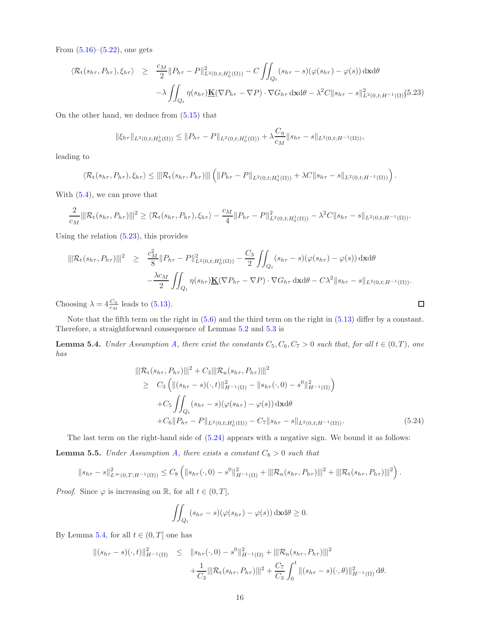From  $(5.16)$ – $(5.22)$ , one gets

<span id="page-15-0"></span>
$$
\langle \mathcal{R}_{\mathbf{t}}(s_{h\tau}, P_{h\tau}), \xi_{h\tau} \rangle \geq \frac{c_M}{2} \| P_{h\tau} - P \|_{L^2(0, t; H_0^1(\Omega))}^2 - C \iint_{Q_t} (s_{h\tau} - s) (\varphi(s_{h\tau}) - \varphi(s)) \, d\mathbf{x} d\theta
$$

$$
- \lambda \iint_{Q_t} \eta(s_{h\tau}) \underline{\mathbf{K}}(\nabla P_{h\tau} - \nabla P) \cdot \nabla G_{h\tau} \, d\mathbf{x} d\theta - \lambda^2 C \| s_{h\tau} - s \|_{L^2(0, t; H^{-1}(\Omega))}^2 (5.23)
$$

On the other hand, we deduce from [\(5.15\)](#page-13-2) that

$$
\|\xi_{h\tau}\|_{L^2(0,t;H_0^1(\Omega))} \le \|P_{h\tau} - P\|_{L^2(0,t;H_0^1(\Omega))} + \lambda \frac{C_\eta}{c_M} \|s_{h\tau} - s\|_{L^2(0,t;H^{-1}(\Omega))},
$$

leading to

$$
\langle \mathcal{R}_{t}(s_{h\tau}, P_{h\tau}), \xi_{h\tau} \rangle \leq ||\mathcal{R}_{t}(s_{h\tau}, P_{h\tau})||| \left( ||P_{h\tau} - P||_{L^{2}(0,t;H_{0}^{1}(\Omega))} + \lambda C ||s_{h\tau} - s||_{L^{2}(0,t;H^{-1}(\Omega))} \right).
$$

With [\(5.4\)](#page-11-7), we can prove that

$$
\frac{2}{c_M} \|\mathcal{R}_t(s_{h\tau}, P_{h\tau})\|^2 \geq \langle \mathcal{R}_t(s_{h\tau}, P_{h\tau}), \xi_{h\tau} \rangle - \frac{c_M}{4} \|P_{h\tau} - P\|_{L^2(0, t; H_0^1(\Omega))}^2 - \lambda^2 C \|s_{h\tau} - s\|_{L^2(0, t; H^{-1}(\Omega))}.
$$

Using the relation [\(5.23\)](#page-15-0), this provides

$$
\|\mathcal{R}_{t}(s_{h\tau}, P_{h\tau})\|^{2} \geq \frac{c_{M}^{2}}{8} \|P_{h\tau} - P\|_{L^{2}(0,t;H_{0}^{1}(\Omega))}^{2} - \frac{C_{3}}{2} \iint_{Q_{t}} (s_{h\tau} - s)(\varphi(s_{h\tau}) - \varphi(s)) d\mathbf{x} d\theta -\frac{\lambda c_{M}}{2} \iint_{Q_{t}} \eta(s_{h\tau}) \underline{\mathbf{K}}(\nabla P_{h\tau} - \nabla P) \cdot \nabla G_{h\tau} d\mathbf{x} d\theta - C\lambda^{2} \|s_{h\tau} - s\|_{L^{2}(0,t;H^{-1}(\Omega))}.
$$

Choosing  $\lambda = 4 \frac{C_3}{c_M}$  leads to [\(5.13\)](#page-13-4).

Note that the fifth term on the right in [\(5.6\)](#page-12-3) and the third term on the right in [\(5.13\)](#page-13-4) differ by a constant. Therefore, a straightforward consequence of Lemmas [5.2](#page-12-4) and [5.3](#page-13-5) is

<span id="page-15-2"></span>**Lemma 5.4.** Under Assumption [A,](#page-4-0) there exist the constants  $C_5$ ,  $C_6$ ,  $C_7 > 0$  such that, for all  $t \in (0, T)$ , one has

<span id="page-15-1"></span>
$$
\|\mathcal{R}_{t}(s_{h\tau}, P_{h\tau})\|^{2} + C_{3} \|\mathcal{R}_{n}(s_{h\tau}, P_{h\tau})\|^{2}
$$
\n
$$
\geq C_{3} \left( \|(s_{h\tau} - s)(\cdot, t)\|_{H^{-1}(\Omega)}^{2} - \|s_{h\tau}(\cdot, 0) - s^{0}\|_{H^{-1}(\Omega)}^{2} \right)
$$
\n
$$
+ C_{5} \iint_{Q_{t}} (s_{h\tau} - s)(\varphi(s_{h\tau}) - \varphi(s)) \, d\mathbf{x} d\theta
$$
\n
$$
+ C_{6} \|P_{h\tau} - P\|_{L^{2}(0, t; H_{0}^{1}(\Omega))} - C_{7} \|s_{h\tau} - s\|_{L^{2}(0, t; H^{-1}(\Omega))}. \tag{5.24}
$$

 $\Box$ 

<span id="page-15-3"></span>The last term on the right-hand side of [\(5.24\)](#page-15-1) appears with a negative sign. We bound it as follows: **Lemma 5.5.** Under Assumption [A,](#page-4-0) there exists a constant  $C_8 > 0$  such that

$$
||s_{h\tau}-s||^2_{L^{\infty}(0,T;H^{-1}(\Omega))}\leq C_8 \left(||s_{h\tau}(\cdot,0)-s^0||^2_{H^{-1}(\Omega)}+||\mathcal{R}_{n}(s_{h\tau},P_{h\tau})|||^2+||\mathcal{R}_{t}(s_{h\tau},P_{h\tau})|||^2\right).
$$

*Proof.* Since  $\varphi$  is increasing on R, for all  $t \in (0, T]$ ,

$$
\iint_{Q_t} (s_{h\tau} - s)(\varphi(s_{h\tau}) - \varphi(s)) \, \mathrm{d} \mathbf{x} \mathrm{d} \theta \ge 0.
$$

By Lemma [5.4,](#page-15-2) for all  $t \in (0, T]$  one has

$$
\begin{aligned} \| (s_{h\tau} - s)(\cdot, t) \|_{H^{-1}(\Omega)}^2 &\leq \| s_{h\tau}(\cdot, 0) - s^0 \|_{H^{-1}(\Omega)}^2 + \| \mathcal{R}_n(s_{h\tau}, P_{h\tau}) \|^2 \\ &\quad + \frac{1}{C_3} \| \mathcal{R}_t(s_{h\tau}, P_{h\tau}) \|^2 + \frac{C_7}{C_3} \int_0^t \| (s_{h\tau} - s)(\cdot, \theta) \|_{H^{-1}(\Omega)}^2 \, \mathrm{d}\theta. \end{aligned}
$$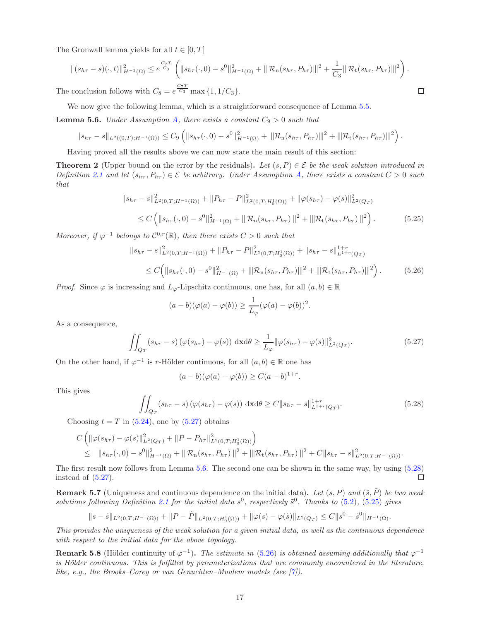The Gronwall lemma yields for all  $t \in [0, T]$ 

$$
\|(s_{h\tau} - s)(\cdot, t)\|_{H^{-1}(\Omega)}^2 \le e^{\frac{C_7T}{C_3}} \left( \|s_{h\tau}(\cdot, 0) - s^0\|_{H^{-1}(\Omega)}^2 + \|\mathcal{R}_n(s_{h\tau}, P_{h\tau})\|^{2} + \frac{1}{C_3} \|\mathcal{R}_t(s_{h\tau}, P_{h\tau})\|^{2} \right).
$$
  
conclusion follows with  $C_8 = e^{\frac{C_7T}{C_3}} \max\{1, 1/C_3\}.$ 

The conclusion follows with  $C_8 = e^{\frac{C_7T}{C_3}} \max\{1, 1/C_3\}.$ 

We now give the following lemma, which is a straightforward consequence of Lemma [5.5.](#page-15-3)

<span id="page-16-2"></span>**Lemma 5.6.** Under Assumption [A,](#page-4-0) there exists a constant  $C_9 > 0$  such that

$$
||s_{h\tau}-s||_{L^2((0,T);H^{-1}(\Omega))}\leq C_9\left(||s_{h\tau}(\cdot,0)-s^0||^2_{H^{-1}(\Omega)}+||\mathcal{R}_{n}(s_{h\tau},P_{h\tau})|||^2+||\mathcal{R}_{t}(s_{h\tau},P_{h\tau})|||^2\right).
$$

Having proved all the results above we can now state the main result of this section:

<span id="page-16-0"></span>**Theorem 2** (Upper bound on the error by the residuals). Let  $(s, P) \in \mathcal{E}$  be the weak solution introduced in Definition [2.1](#page-4-1) and let  $(s_{h\tau}, P_{h\tau}) \in \mathcal{E}$  be arbitrary. Under Assumption [A,](#page-4-0) there exists a constant  $C > 0$  such that

<span id="page-16-4"></span>
$$
||s_{h\tau} - s||_{L^{2}(0,T;H^{-1}(\Omega))}^{2} + ||P_{h\tau} - P||_{L^{2}(0,T;H_{0}^{1}(\Omega))}^{2} + ||\varphi(s_{h\tau}) - \varphi(s)||_{L^{2}(Q_{T})}^{2}
$$
  
\n
$$
\leq C \left( ||s_{h\tau}(\cdot,0) - s^{0}||_{H^{-1}(\Omega)}^{2} + ||\mathcal{R}_{n}(s_{h\tau},P_{h\tau})|||^{2} + ||\mathcal{R}_{t}(s_{h\tau},P_{h\tau})|||^{2} \right).
$$
\n(5.25)

Moreover, if  $\varphi^{-1}$  belongs to  $\mathcal{C}^{0,r}(\mathbb{R})$ , then there exists  $C > 0$  such that

<span id="page-16-5"></span>
$$
||s_{h\tau} - s||_{L^{2}(0,T;H^{-1}(\Omega))}^{2} + ||P_{h\tau} - P||_{L^{2}(0,T;H_{0}^{1}(\Omega))}^{2} + ||s_{h\tau} - s||_{L^{1+r}(Q_{T})}^{1+r}
$$
  
\n
$$
\leq C\Big(||s_{h\tau}(\cdot,0) - s^{0}||_{H^{-1}(\Omega)}^{2} + ||\mathcal{R}_{n}(s_{h\tau},P_{h\tau})|||^{2} + ||\mathcal{R}_{t}(s_{h\tau},P_{h\tau})|||^{2}\Big).
$$
\n(5.26)

*Proof.* Since  $\varphi$  is increasing and  $L_{\varphi}$ -Lipschitz continuous, one has, for all  $(a, b) \in \mathbb{R}$ 

$$
(a-b)(\varphi(a)-\varphi(b))\geq \frac{1}{L_{\varphi}}(\varphi(a)-\varphi(b))^{2}.
$$

As a consequence,

<span id="page-16-1"></span>
$$
\iint_{Q_T} (s_{h\tau} - s) \left( \varphi(s_{h\tau}) - \varphi(s) \right) dx d\theta \ge \frac{1}{L_{\varphi}} \|\varphi(s_{h\tau}) - \varphi(s)\|_{L^2(Q_T)}^2.
$$
\n(5.27)

On the other hand, if  $\varphi^{-1}$  is r-Hölder continuous, for all  $(a, b) \in \mathbb{R}$  one has

$$
(a-b)(\varphi(a)-\varphi(b))\geq C(a-b)^{1+r}.
$$

This gives

<span id="page-16-3"></span>
$$
\iint_{Q_T} (s_{h\tau} - s) \left( \varphi(s_{h\tau}) - \varphi(s) \right) \, \mathrm{d} \mathbf{x} \mathrm{d} \theta \ge C \| s_{h\tau} - s \|_{L^{1+r}(Q_T)}^{1+r}.
$$
\n
$$
(5.28)
$$

Choosing  $t = T$  in [\(5.24\)](#page-15-1), one by [\(5.27\)](#page-16-1) obtains

$$
C\left(\|\varphi(s_{h\tau})-\varphi(s)\|_{L^{2}(Q_{T})}^{2}+\|P-P_{h\tau}\|_{L^{2}(0,T;H_{0}^{1}(\Omega))}^{2}\right) \leq \|s_{h\tau}(\cdot,0)-s^{0}\|_{H^{-1}(\Omega)}^{2}+\|\mathcal{R}_{n}(s_{h\tau},P_{h\tau})\|^{2}+\|\mathcal{R}_{t}(s_{h\tau},P_{h\tau})\|^{2}+C\|s_{h\tau}-s\|_{L^{2}(0,T;H^{-1}(\Omega))}^{2}.
$$

The first result now follows from Lemma [5.6.](#page-16-2) The second one can be shown in the same way, by using [\(5.28\)](#page-16-3) instead of [\(5.27\)](#page-16-1).  $\Box$ 

**Remark 5.7** (Uniqueness and continuous dependence on the initial data). Let  $(s, P)$  and  $(\tilde{s}, \tilde{P})$  be two weak solutions following Definition [2.1](#page-4-1) for the initial data  $s^0$ , respectively  $\tilde{s}^0$ . Thanks to  $(5.2)$ ,  $(5.25)$  gives

$$
||s-\tilde{s}||_{L^{2}(0,T;H^{-1}(\Omega))}+||P-\tilde{P}||_{L^{2}(0,T;H^{1}_{0}(\Omega))}+||\varphi(s)-\varphi(\tilde{s})||_{L^{2}(Q_{T})}\leq C||s^{0}-\tilde{s}^{0}||_{H^{-1}(\Omega)}.
$$

This provides the uniqueness of the weak solution for a given initial data, as well as the continuous dependence with respect to the initial data for the above topology.

**Remark 5.8** (Hölder continuity of  $\varphi^{-1}$ ). The estimate in [\(5.26\)](#page-16-5) is obtained assuming additionally that  $\varphi^{-1}$ is Hölder continuous. This is fulfilled by parameterizations that are commonly encountered in the literature, like, e.g., the Brooks–Corey or van Genuchten–Mualem models (see  $[7]$ ).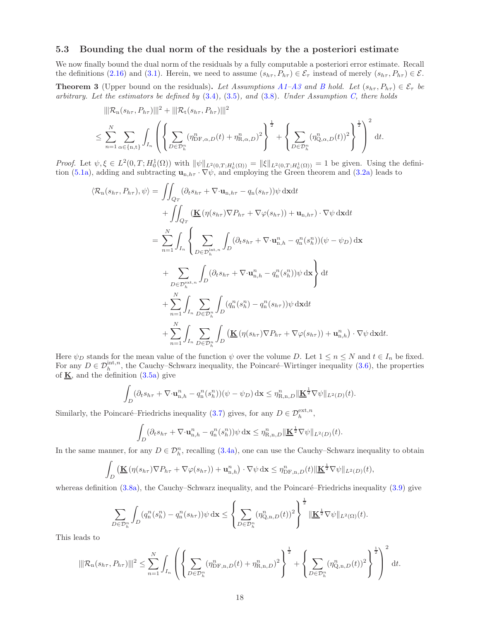## <span id="page-17-0"></span>5.3 Bounding the dual norm of the residuals by the a posteriori estimate

We now finally bound the dual norm of the residuals by a fully computable a posteriori error estimate. Recall the definitions [\(2.16\)](#page-3-6) and [\(3.1\)](#page-6-6). Herein, we need to assume  $(s_{h\tau}, P_{h\tau}) \in \mathcal{E}_{\tau}$  instead of merely  $(s_{h\tau}, P_{h\tau}) \in \mathcal{E}$ .

<span id="page-17-1"></span>**Theorem [3](#page-4-4)** (Upper bound on the residuals). Let [A](#page-4-0)ssumptions A[1](#page-4-2)[–A](#page-4-0)3 and [B](#page-6-0) hold. Let  $(s_{h\tau}, P_{h\tau}) \in \mathcal{E}_{\tau}$  be arbitrary. Let the estimators be defined by  $(3.4), (3.5),$  $(3.4), (3.5),$  $(3.4), (3.5),$  $(3.4), (3.5),$  and  $(3.8)$ . Under Assumption [C,](#page-6-1) there holds

$$
\|\mathcal{R}_{n}(s_{h\tau}, P_{h\tau})\|^{2} + \|\mathcal{R}_{t}(s_{h\tau}, P_{h\tau})\|^{2}
$$
  

$$
\leq \sum_{n=1}^{N} \sum_{\alpha \in \{n, t\}} \int_{I_{n}} \left( \left\{ \sum_{D \in \mathcal{D}_{h}^{n}} (\eta_{\text{DF}, \alpha, D}^{n}(t) + \eta_{\text{R}, \alpha, D}^{n})^{2} \right\}^{\frac{1}{2}} + \left\{ \sum_{D \in \mathcal{D}_{h}^{n}} (\eta_{Q, \alpha, D}^{n}(t))^{2} \right\}^{\frac{1}{2}} \right)^{2} dt.
$$

*Proof.* Let  $\psi, \xi \in L^2(0,T; H_0^1(\Omega))$  with  $\|\psi\|_{L^2(0,T;H_0^1(\Omega))} = \|\xi\|_{L^2(0,T;H_0^1(\Omega))} = 1$  be given. Using the defini-tion [\(5.1a\)](#page-11-8), adding and subtracting  $\mathbf{u}_{n,h\tau}$ .  $\nabla \psi$ , and employing the Green theorem and [\(3.2a\)](#page-6-2) leads to

$$
\langle \mathcal{R}_{n}(s_{h\tau}, P_{h\tau}), \psi \rangle = \iint_{Q_{T}} (\partial_{t} s_{h\tau} + \nabla \cdot \mathbf{u}_{n,h\tau} - q_{n}(s_{h\tau})) \psi \,d\mathbf{x} dt \n+ \iint_{Q_{T}} (\mathbf{K}(\eta(s_{h\tau}) \nabla P_{h\tau} + \nabla \varphi(s_{h\tau})) + \mathbf{u}_{n,h\tau}) \cdot \nabla \psi \,d\mathbf{x} dt \n= \sum_{n=1}^{N} \int_{I_{n}} \left\{ \sum_{D \in \mathcal{D}_{h}^{\text{int},n}} \int_{D} (\partial_{t} s_{h\tau} + \nabla \cdot \mathbf{u}_{n,h}^{n} - q_{n}^{n}(s_{h}^{n})) (\psi - \psi_{D}) \,d\mathbf{x} \right. \n+ \sum_{D \in \mathcal{D}_{h}^{\text{ext},n}} \int_{D} (\partial_{t} s_{h\tau} + \nabla \cdot \mathbf{u}_{n,h}^{n} - q_{n}^{n}(s_{h}^{n})) \psi \,d\mathbf{x} \right\} dt \n+ \sum_{n=1}^{N} \int_{I_{n}} \sum_{D \in \mathcal{D}_{h}^{n}} \int_{D} (q_{n}^{n}(s_{h}^{n}) - q_{n}^{n}(s_{h\tau})) \psi \,d\mathbf{x} dt \n+ \sum_{n=1}^{N} \int_{I_{n}} \sum_{D \in \mathcal{D}_{h}^{n}} \int_{D} (\mathbf{K}(\eta(s_{h\tau}) \nabla P_{h\tau} + \nabla \varphi(s_{h\tau})) + \mathbf{u}_{n,h}^{n}) \cdot \nabla \psi \,d\mathbf{x} dt.
$$

Here  $\psi_D$  stands for the mean value of the function  $\psi$  over the volume D. Let  $1 \leq n \leq N$  and  $t \in I_n$  be fixed. For any  $D \in \mathcal{D}_h^{\text{int},n}$ , the Cauchy–Schwarz inequality, the Poincaré–Wirtinger inequality [\(3.6\)](#page-7-4), the properties of  $\underline{\mathbf{K}}$ , and the definition [\(3.5a\)](#page-6-9) give

$$
\int_D (\partial_t s_{h\tau} + \nabla \cdot \mathbf{u}_{n,h}^n - q_n^n(s_h^n))(\psi - \psi_D) \, \mathrm{d}\mathbf{x} \le \eta_{\mathbf{R},n,D}^n \|\mathbf{\underline{K}}^{\frac{1}{2}} \nabla \psi\|_{L^2(D)}(t).
$$

Similarly, the Poincaré–Friedrichs inequality [\(3.7\)](#page-7-5) gives, for any  $D \in \mathcal{D}_h^{\text{ext},n}$ ,

$$
\int_D (\partial_t s_{h\tau} + \nabla \cdot \mathbf{u}_{n,h}^n - q_n^n(s_h^n)) \psi \, \mathrm{d} \mathbf{x} \le \eta_{\mathbf{R},n,D}^n \|\mathbf{K}^{\frac{1}{2}} \nabla \psi\|_{L^2(D)}(t).
$$

In the same manner, for any  $D \in \mathcal{D}_h^n$ , recalling [\(3.4a\)](#page-6-10), one can use the Cauchy–Schwarz inequality to obtain

$$
\int_D \left( \underline{\mathbf{K}} \left( \eta(s_{h\tau}) \nabla P_{h\tau} + \nabla \varphi(s_{h\tau}) \right) + \mathbf{u}_{n,h}^n \right) \cdot \nabla \psi \, \mathrm{d} \mathbf{x} \leq \eta_{\mathrm{DF},n,D}^n(t) \|\underline{\mathbf{K}}^{\frac{1}{2}} \nabla \psi\|_{L^2(D)}(t),
$$

whereas definition  $(3.8a)$ , the Cauchy–Schwarz inequality, and the Poincaré–Friedrichs inequality  $(3.9)$  give

$$
\sum_{D\in\mathcal{D}_h^n}\int_D(q_n^n(s_h^n)-q_n^n(s_{h\tau}))\psi\,\mathrm{d}\mathbf{x}\leq \left\{\sum_{D\in\mathcal{D}_h^n}(\eta_{\mathbf{Q},n,D}^n(t))^2\right\}^{\frac{1}{2}}\|\underline{\mathbf{K}}^{\frac{1}{2}}\nabla\psi\|_{L^2(\Omega)}(t).
$$

This leads to

$$
\|\mathcal{R}_{\mathbf{n}}(s_{h\tau},P_{h\tau})\|^2 \leq \sum_{n=1}^N \int_{I_n} \left( \left\{ \sum_{D \in \mathcal{D}_h^n} (\eta_{\mathrm{DF},\mathbf{n},D}^n(t) + \eta_{\mathrm{R},\mathbf{n},D}^n)^2 \right\}^{\frac{1}{2}} + \left\{ \sum_{D \in \mathcal{D}_h^n} (\eta_{\mathrm{Q},\mathbf{n},D}^n(t))^2 \right\}^{\frac{1}{2}} \right)^2 dt.
$$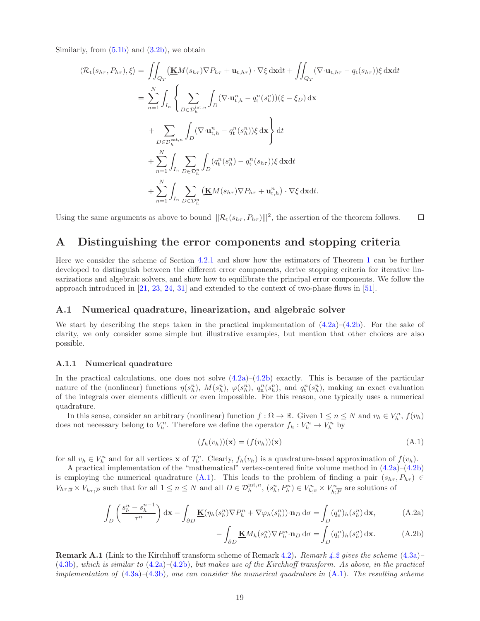Similarly, from  $(5.1b)$  and  $(3.2b)$ , we obtain

$$
\langle \mathcal{R}_{t}(s_{h\tau}, P_{h\tau}), \xi \rangle = \iint_{Q_{T}} (\underline{\mathbf{K}}M(s_{h\tau})\nabla P_{h\tau} + \mathbf{u}_{t,h\tau}) \cdot \nabla \xi \, dxdt + \iint_{Q_{T}} (\nabla \cdot \mathbf{u}_{t,h\tau} - q_{t}(s_{h\tau}))\xi \, dxdt
$$
  
\n
$$
= \sum_{n=1}^{N} \int_{I_{n}} \left\{ \sum_{D \in \mathcal{D}_{h}^{\text{int},n}} \int_{D} (\nabla \cdot \mathbf{u}_{t,h}^{n} - q_{t}^{n}(s_{h}^{n}))(\xi - \xi_{D}) \, dx \right\}
$$
  
\n
$$
+ \sum_{D \in \mathcal{D}_{h}^{\text{ext},n}} \int_{D} (\nabla \cdot \mathbf{u}_{t,h}^{n} - q_{t}^{n}(s_{h}^{n}))\xi \, dx \right\} dt
$$
  
\n
$$
+ \sum_{n=1}^{N} \int_{I_{n}} \sum_{D \in \mathcal{D}_{h}^{n}} \int_{D} (q_{t}^{n}(s_{h}^{n}) - q_{t}^{n}(s_{h\tau}))\xi \, dxdt
$$
  
\n
$$
+ \sum_{n=1}^{N} \int_{I_{n}} \sum_{D \in \mathcal{D}_{h}^{n}} (\underline{\mathbf{K}}M(s_{h\tau})\nabla P_{h\tau} + \mathbf{u}_{t,h}^{n}) \cdot \nabla \xi \, dxdt.
$$

Using the same arguments as above to bound  $\|\mathcal{R}_{t}(s_{h\tau}, P_{h\tau})\|^2$ , the assertion of the theorem follows.  $\Box$ 

# <span id="page-18-0"></span>A Distinguishing the error components and stopping criteria

Here we consider the scheme of Section [4.2.1](#page-9-7) and show how the estimators of Theorem [1](#page-7-0) can be further developed to distinguish between the different error components, derive stopping criteria for iterative linearizations and algebraic solvers, and show how to equilibrate the principal error components. We follow the approach introduced in [\[21,](#page-24-16) [23,](#page-24-14) [24,](#page-24-17) [31\]](#page-24-15) and extended to the context of two-phase flows in [\[51\]](#page-25-0).

## A.1 Numerical quadrature, linearization, and algebraic solver

We start by describing the steps taken in the practical implementation of  $(4.2a)$ – $(4.2b)$ . For the sake of clarity, we only consider some simple but illustrative examples, but mention that other choices are also possible.

#### A.1.1 Numerical quadrature

In the practical calculations, one does not solve  $(4.2a)$ – $(4.2b)$  exactly. This is because of the particular nature of the (nonlinear) functions  $\eta(s_h^n)$ ,  $M(s_h^n)$ ,  $\varphi(s_h^n)$ ,  $q_n^n(s_h^n)$ , and  $q_t^n(s_h^n)$ , making an exact evaluation of the integrals over elements difficult or even impossible. For this reason, one typically uses a numerical quadrature.

In this sense, consider an arbitrary (nonlinear) function  $f: \Omega \to \mathbb{R}$ . Given  $1 \le n \le N$  and  $v_h \in V_h^n$ ,  $f(v_h)$ does not necessary belong to  $V_h^n$ . Therefore we define the operator  $f_h: V_h^n \to V_h^n$  by

<span id="page-18-2"></span>
$$
(f_h(v_h))(\mathbf{x}) = (f(v_h))(\mathbf{x})
$$
\n(A.1)

for all  $v_h \in V_h^n$  and for all vertices **x** of  $\mathcal{T}_h^n$ . Clearly,  $f_h(v_h)$  is a quadrature-based approximation of  $f(v_h)$ .

A practical implementation of the "mathematical" vertex-centered finite volume method in [\(4.2a\)](#page-9-2)–[\(4.2b\)](#page-9-1) is employing the numerical quadrature [\(A.1\)](#page-18-2). This leads to the problem of finding a pair  $(s_{h\tau}, P_{h\tau}) \in$  $V_{h\tau;\overline{s}} \times V_{h\tau;\overline{P}}$  such that for all  $1 \leq n \leq N$  and all  $D \in \mathcal{D}_h^{\text{int},n}$ ,  $(s_h^n, P_h^n) \in V_{h;\overline{s}}^n \times V_h^n$  $\sum_{h,\overline{P}}^{r_n}$  are solutions of

$$
\int_{D} \left( \frac{s_h^n - s_h^{n-1}}{\tau^n} \right) dx - \int_{\partial D} \underline{\mathbf{K}}(\eta_h(s_h^n) \nabla P_h^n + \nabla \varphi_h(s_h^n)) \cdot \mathbf{n}_D d\sigma = \int_{D} (q_h^n)_h(s_h^n) dx,
$$
\n(A.2a)

<span id="page-18-4"></span><span id="page-18-3"></span>
$$
-\int_{\partial D} \underline{\mathbf{K}} M_h(s_h^n) \nabla P_h^n \cdot \mathbf{n}_D \, d\sigma = \int_D (q_t^n)_h(s_h^n) \, d\mathbf{x}.\tag{A.2b}
$$

<span id="page-18-1"></span>**Remark A.1** (Link to the Kirchhoff transform scheme of Remark [4.2\)](#page-9-8). Remark [4.2](#page-9-8) gives the scheme [\(4.3a\)](#page-9-3)–  $(4.3b)$ , which is similar to  $(4.2a)$ – $(4.2b)$ , but makes use of the Kirchhoff transform. As above, in the practical implementation of  $(4.3a)$ – $(4.3b)$ , one can consider the numerical quadrature in  $(A.1)$ . The resulting scheme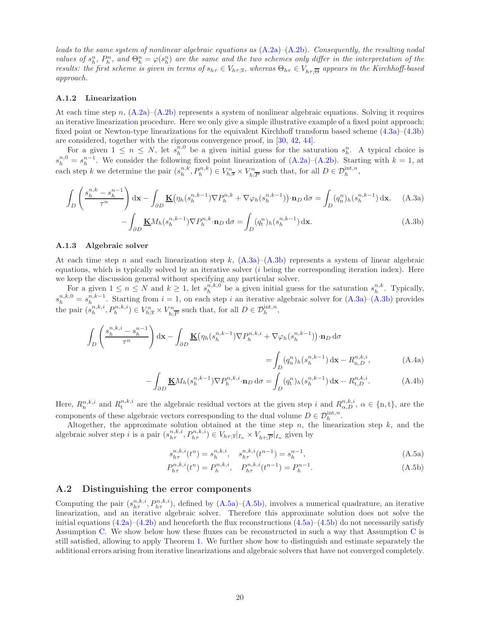leads to the same system of nonlinear algebraic equations as  $(A.2a)$ – $(A.2b)$ . Consequently, the resulting nodal values of  $s_h^n$ ,  $P_h^n$ , and  $\Theta_h^n = \varphi(s_h^n)$  are the same and the two schemes only differ in the interpretation of the results: the first scheme is given in terms of  $s_{h\tau} \in V_{h\tau; \overline{s}}$ , whereas  $\Theta_{h\tau} \in V_{h\tau; \overline{\Theta}}$  appears in the Kirchhoff-based approach.

#### A.1.2 Linearization

At each time step n,  $(A.2a)$ – $(A.2b)$  represents a system of nonlinear algebraic equations. Solving it requires an iterative linearization procedure. Here we only give a simple illustrative example of a fixed point approach; fixed point or Newton-type linearizations for the equivalent Kirchhoff transform based scheme [\(4.3a\)](#page-9-3)–[\(4.3b\)](#page-9-4) are considered, together with the rigorous convergence proof, in [\[30,](#page-24-19) [42,](#page-25-15) [44\]](#page-25-16).

For a given  $1 \leq n \leq N$ , let  $s_h^{n,0}$  be a given initial guess for the saturation  $s_h^n$ . A typical choice is  $s_h^{n,0} = s_h^{n-1}$ . We consider the following fixed point linearization of [\(A.2a\)](#page-18-3)–[\(A.2b\)](#page-18-4). Starting with  $k = 1$ , at each step k we determine the pair  $(s_h^{n,k}, P_h^{n,k}) \in V_{h;\overline{s}}^n \times V_h^n$  $\sum_{h,\overline{P}}^n$  such that, for all  $D \in \mathcal{D}_h^{\text{int},n}$ ,

$$
\int_{D} \left( \frac{s_h^{n,k} - s_h^{n-1}}{\tau^n} \right) dx - \int_{\partial D} \underline{\mathbf{K}} \big( \eta_h(s_h^{n,k-1}) \nabla P_h^{n,k} + \nabla \varphi_h(s_h^{n,k-1}) \big) \cdot \mathbf{n}_D \, d\sigma = \int_{D} (q_n^n)_h(s_h^{n,k-1}) \, dx, \quad \text{(A.3a)}
$$

<span id="page-19-1"></span><span id="page-19-0"></span>
$$
-\int_{\partial D} \underline{\mathbf{K}} M_h(s_h^{n,k-1}) \nabla P_h^{n,k} \cdot \mathbf{n}_D \, d\sigma = \int_D (q_t^n)_h(s_h^{n,k-1}) \, d\mathbf{x}.\tag{A.3b}
$$

#### A.1.3 Algebraic solver

At each time step n and each linearization step k,  $(A.3a)$ – $(A.3b)$  represents a system of linear algebraic equations, which is typically solved by an iterative solver (i being the corresponding iteration index). Here we keep the discussion general without specifying any particular solver.

For a given  $1 \leq n \leq N$  and  $k \geq 1$ , let  $s_h^{n,k,0}$  be a given initial guess for the saturation  $s_h^{n,k}$ . Typically,  $s_h^{n,k,0} = s_h^{n,k-1}$ . Starting from  $i = 1$ , on each step i an iterative algebraic solver for  $(A.3a)$ – $(A.3b)$  provides the pair  $(s_h^{n,k,i}, P_h^{n,k,i}) \in V_{h;\overline{s}}^n \times V_h^n$  $\sum_{h,\overline{P}}^{\infty}$  such that, for all  $D \in \mathcal{D}_h^{\text{int},n}$ ,

$$
\int_{D} \left( \frac{s_h^{n,k,i} - s_h^{n-1}}{\tau^n} \right) dx - \int_{\partial D} \underline{\mathbf{K}} \big( \eta_h(s_h^{n,k-1}) \nabla P_h^{n,k,i} + \nabla \varphi_h(s_h^{n,k-1}) \big) \cdot \mathbf{n}_D d\sigma
$$
\n
$$
= \int_{D} (q_h^n)_h(s_h^{n,k-1}) dx - R_{n,D}^{n,k,i}, \tag{A.4a}
$$

$$
-\int_{\partial D} \underline{\mathbf{K}} M_h(s_h^{n,k-1}) \nabla P_h^{n,k,i} \cdot \mathbf{n}_D \, d\sigma = \int_D (q_t^n)_h(s_h^{n,k-1}) \, d\mathbf{x} - R_{t,D}^{n,k,i}.\tag{A.4b}
$$

Here,  $R_n^{n,k,i}$  and  $R_t^{n,k,i}$  are the algebraic residual vectors at the given step i and  $R_{\alpha,D}^{n,k,i}$ ,  $\alpha \in \{\text{n},\text{t}\}$ , are the components of these algebraic vectors corresponding to the dual volume  $D \in \mathcal{D}_h^{\text{int},n}$ .

Altogether, the approximate solution obtained at the time step  $n$ , the linearization step  $k$ , and the algebraic solver step *i* is a pair  $(s_{h\tau}^{n,k,i}, P_{h\tau}^{n,k,i}) \in V_{h\tau;\overline{s}}|_{I_n} \times V_{h\tau;\overline{P}}|_{I_n}$  given by

<span id="page-19-5"></span><span id="page-19-4"></span><span id="page-19-3"></span><span id="page-19-2"></span>
$$
s_{h\tau}^{n,k,i}(t^n) = s_h^{n,k,i}, \quad s_{h\tau}^{n,k,i}(t^{n-1}) = s_h^{n-1},\tag{A.5a}
$$

$$
P_{h\tau}^{n,k,i}(t^n) = P_h^{n,k,i}, \quad P_{h\tau}^{n,k,i}(t^{n-1}) = P_h^{n-1}.
$$
\n(A.5b)

### A.2 Distinguishing the error components

Computing the pair  $(s_{h\tau}^{n,k,i}, P_{h\tau}^{n,k,i})$ , defined by  $(A.5a)$ – $(A.5b)$ , involves a numerical quadrature, an iterative linearization, and an iterative algebraic solver. Therefore this approximate solution does not solve the initial equations  $(4.2a)$ – $(4.2b)$  and henceforth the flux reconstructions  $(4.5a)$ – $(4.5b)$  do not necessarily satisfy Assumption [C.](#page-6-1) We show below how these fluxes can be reconstructed in such a way that Assumption [C](#page-6-1) is still satisfied, allowing to apply Theorem [1.](#page-7-0) We further show how to distinguish and estimate separately the additional errors arising from iterative linearizations and algebraic solvers that have not converged completely.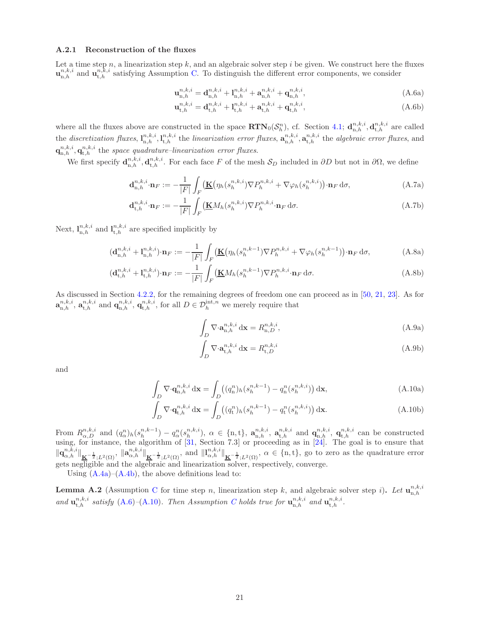#### A.2.1 Reconstruction of the fluxes

Let a time step  $n$ , a linearization step  $k$ , and an algebraic solver step  $i$  be given. We construct here the fluxes  $\mathbf{u}_{n,h}^{n,k,i}$  and  $\mathbf{u}_{t,h}^{n,k,i}$  satisfying Assumption [C.](#page-6-1) To distinguish the different error components, we consider

<span id="page-20-0"></span>
$$
\mathbf{u}_{n,h}^{n,k,i} = \mathbf{d}_{n,h}^{n,k,i} + \mathbf{l}_{n,h}^{n,k,i} + \mathbf{a}_{n,h}^{n,k,i} + \mathbf{q}_{n,h}^{n,k,i},\tag{A.6a}
$$

$$
\mathbf{u}_{t,h}^{n,k,i} = \mathbf{d}_{t,h}^{n,k,i} + \mathbf{l}_{t,h}^{n,k,i} + \mathbf{a}_{t,h}^{n,k,i} + \mathbf{q}_{t,h}^{n,k,i},\tag{A.6b}
$$

where all the fluxes above are constructed in the space  $\text{RTN}_0(\mathcal{S}_h^n)$ , cf. Section [4.1;](#page-8-0)  $\mathbf{d}_{n,h}^{n,k,i}, \mathbf{d}_{t,h}^{n,k,i}$  are called the discretization fluxes,  $\mathbf{l}_{n,h}^{n,k,i}, \mathbf{l}_{t,h}^{n,k,i}$  the linearization error fluxes,  $\mathbf{a}_{n,h}^{n,k,i}, \mathbf{a}_{t,h}^{n,k,i}$  the algebraic error fluxes, and  $\mathbf{q}_{\mathrm{n},h}^{n,k,i}, \mathbf{q}_{\mathrm{t},h}^{n,k,i}$  the space quadrature–linearization error fluxes.

We first specify  $\mathbf{d}_{n,h}^{n,k,i}, \mathbf{d}_{t,h}^{n,k,i}$ . For each face F of the mesh  $\mathcal{S}_D$  included in  $\partial D$  but not in  $\partial \Omega$ , we define

$$
\mathbf{d}_{n,h}^{n,k,i} \cdot \mathbf{n}_F := -\frac{1}{|F|} \int_F \left( \mathbf{\underline{K}} \left( \eta_h(s_h^{n,k,i}) \nabla P_h^{n,k,i} + \nabla \varphi_h(s_h^{n,k,i}) \right) \cdot \mathbf{n}_F \, \mathrm{d}\sigma, \right) \tag{A.7a}
$$

$$
\mathbf{d}_{t,h}^{n,k,i} \cdot \mathbf{n}_F := -\frac{1}{|F|} \int_F \left( \underline{\mathbf{K}} M_h(s_h^{n,k,i}) \nabla P_h^{n,k,i} \cdot \mathbf{n}_F \, \mathrm{d}\sigma. \right) \tag{A.7b}
$$

Next,  $\mathbf{l}_{n,h}^{n,k,i}$  and  $\mathbf{l}_{t,h}^{n,k,i}$  are specified implicitly by

$$
(\mathbf{d}_{n,h}^{n,k,i} + \mathbf{l}_{n,h}^{n,k,i}) \cdot \mathbf{n}_F := -\frac{1}{|F|} \int_F \left( \mathbf{\underline{K}} \left( \eta_h(s_h^{n,k-1}) \nabla P_h^{n,k,i} + \nabla \varphi_h(s_h^{n,k-1}) \right) \cdot \mathbf{n}_F \, \mathrm{d}\sigma, \right) \tag{A.8a}
$$

$$
(\mathbf{d}_{t,h}^{n,k,i} + \mathbf{l}_{t,h}^{n,k,i}) \cdot \mathbf{n}_F := -\frac{1}{|F|} \int_F (\mathbf{K}M_h(s_h^{n,k-1}) \nabla P_h^{n,k,i} \cdot \mathbf{n}_F \, \mathrm{d}\sigma. \tag{A.8b}
$$

As discussed in Section [4.2.2,](#page-9-0) for the remaining degrees of freedom one can proceed as in [\[50,](#page-25-8) [21,](#page-24-16) [23\]](#page-24-14). As for  $\mathbf{a}_{\text{n},h}^{n,k,i}$ ,  $\mathbf{a}_{\text{t},h}^{n,k,i}$  and  $\mathbf{q}_{\text{n},h}^{n,k,i}$ ,  $\mathbf{q}_{\text{t},h}^{n,k,i}$ , for all  $D \in \mathcal{D}_h^{\text{int},n}$  we merely require that

$$
\int_{D} \nabla \cdot \mathbf{a}_{n,h}^{n,k,i} d\mathbf{x} = R_{n,D}^{n,k,i},\tag{A.9a}
$$

$$
\int_{D} \nabla \cdot \mathbf{a}_{t,h}^{n,k,i} d\mathbf{x} = R_{t,D}^{n,k,i}
$$
\n(A.9b)

<span id="page-20-1"></span>and

$$
\int_{D} \nabla \cdot \mathbf{q}_{n,h}^{n,k,i} d\mathbf{x} = \int_{D} \left( (q_n^n)_h (s_h^{n,k-1}) - q_n^n (s_h^{n,k,i}) \right) d\mathbf{x},\tag{A.10a}
$$

$$
\int_{D} \nabla \cdot \mathbf{q}_{t,h}^{n,k,i} d\mathbf{x} = \int_{D} \left( (q_t^n)_h (s_h^{n,k-1}) - q_t^n (s_h^{n,k,i}) \right) d\mathbf{x}.
$$
\n(A.10b)

From  $R_{\alpha,D}^{n,k,i}$  and  $(q_\alpha^n)_h(s_h^{n,k-1})-q_\alpha^n(s_h^{n,k,i})$ ,  $\alpha \in \{\text{n,t}\}, \mathbf{a}_{\text{n,h}}^{n,k,i}, \mathbf{a}_{\text{t,h}}^{n,k,i}$  and  $\mathbf{q}_{\text{n,h}}^{n,k,i}$ ,  $\mathbf{q}_{\text{t,h}}^{n,k,i}$  can be constructed using, for instance, the algorithm of [\[31,](#page-24-15) Section 7.3] or proceeding as in [\[24\]](#page-24-17). The goal is to ensure that  $\|\mathbf{q}_{\alpha,h}^{n,k,i}\|_{\mathbf{K}^{-\frac{1}{2}};L^2(\Omega)},\|\mathbf{a}_{\alpha,h}^{n,k,i}\|_{\mathbf{K}^{-\frac{1}{2}};L^2(\Omega)},\text{ and }\|l_{\alpha,h}^{n,k,i}\|_{\mathbf{K}^{-\frac{1}{2}};L^2(\Omega)},\alpha\in\{\text{n,t}\},\text{ go to zero as the quadrature error}$ gets negligible and the algebraic and linearization solver, respectively, converge.

Using  $(A.4a)$ – $(A.4b)$ , the above definitions lead to:

**Lemma A.2** (Assumption [C](#page-6-1) for time step n, linearization step k, and algebraic solver step i). Let  $\mathbf{u}_{n,h}^{n,k,i}$ and  $\mathbf{u}_{t,h}^{n,k,i}$  satisfy  $(A.6)$ - $(A.10)$ . Then Assumption [C](#page-6-1) holds true for  $\mathbf{u}_{n,h}^{n,k,i}$  and  $\mathbf{u}_{t,h}^{n,k,i}$ .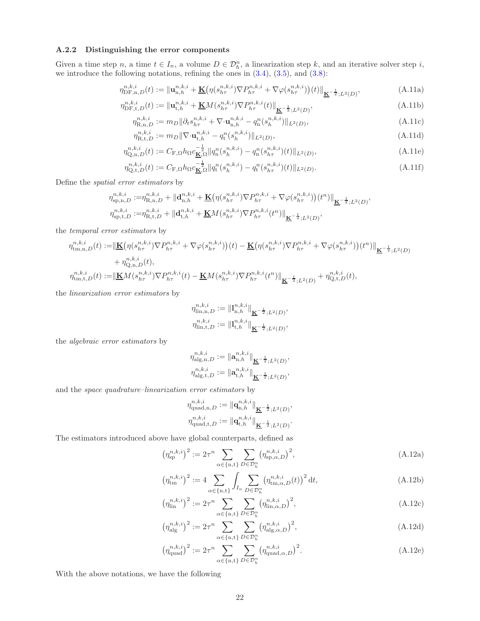#### A.2.2 Distinguishing the error components

Given a time step n, a time  $t \in I_n$ , a volume  $D \in \mathcal{D}_h^n$ , a linearization step k, and an iterative solver step i, we introduce the following notations, refining the ones in  $(3.4)$ ,  $(3.5)$ , and  $(3.8)$ :

$$
\eta_{\text{DF},n,D}^{n,k,i}(t) := \|\mathbf{u}_{n,h}^{n,k,i} + \underline{\mathbf{K}} \big( \eta(s_{h\tau}^{n,k,i}) \nabla P_{h\tau}^{n,k,i} + \nabla \varphi(s_{h\tau}^{n,k,i}) \big)(t) \|_{\underline{\mathbf{K}}^{-\frac{1}{2}};L^2(D)},\tag{A.11a}
$$

$$
\eta_{\text{DF},t,D}^{n,k,i}(t) := \|\mathbf{u}_{t,h}^{n,k,i} + \underline{\mathbf{K}}M(s_{h\tau}^{n,k,i})\nabla P_{h\tau}^{n,k,i}(t)\|_{\underline{\mathbf{K}}^{-\frac{1}{2}};L^2(D)},\tag{A.11b}
$$

<span id="page-21-0"></span>
$$
\eta_{\mathbf{R},\mathbf{n},D}^{n,k,i} := m_D \|\partial_t s_{h\tau}^{n,k,i} + \nabla \cdot \mathbf{u}_{\mathbf{n},h}^{n,k,i} - q_\mathbf{n}^n (s_h^{n,k,i}) \|_{L^2(D)},\tag{A.11c}
$$

$$
\eta_{\text{R},t,D}^{n,k,i} := m_D \|\nabla \cdot \mathbf{u}_{t,h}^{n,k,i} - q_t^n (s_h^{n,k,i})\|_{L^2(D)},\tag{A.11d}
$$

$$
\eta_{Q,n,D}^{n,k,i}(t) := C_{F,\Omega} h_{\Omega} c_{\underline{\mathbf{K}},\Omega}^{-\frac{1}{2}} \|q_n^n(s_h^{n,k,i}) - q_n^n(s_{h\tau}^{n,k,i})(t)\|_{L^2(D)},\tag{A.11e}
$$

$$
\eta_{Q,t,D}^{n,k,i}(t) := C_{F,\Omega} h_{\Omega} c_{\underline{\mathbf{K}},\Omega}^{-\frac{1}{2}} \| q_t^n(s_h^{n,k,i}) - q_t^n(s_{h\tau}^{n,k,i})(t) \|_{L^2(D)}.
$$
\n(A.11f)

Define the spatial error estimators by

$$
\begin{split} &\eta_{\mathrm{sp},n,D}^{n,k,i}:=&\eta_{\mathrm{R},n,D}^{n,k,i}+\|\mathbf{d}_{\mathrm{n},h}^{n,k,i}+\underline{\mathbf{K}}\big(\eta(s_{h\tau}^{n,k,i})\nabla P_{h\tau}^{n,k,i}+\nabla\varphi(s_{h\tau}^{n,k,i})\big)(t^n)\|_{\underline{\mathbf{K}}^{-\frac{1}{2}};L^2(D)},\\ &\eta_{\mathrm{sp},t,D}^{n,k,i}:=&\eta_{\mathrm{R},t,D}^{n,k,i}+\|\mathbf{d}_{\mathrm{t},h}^{n,k,i}+\underline{\mathbf{K}}M(s_{h\tau}^{n,k,i})\nabla P_{h\tau}^{n,k,i}(t^n)\|_{\underline{\mathbf{K}}^{-\frac{1}{2}};L^2(D)}, \end{split}
$$

the temporal error estimators by

$$
\begin{split} \eta_{\text{tm,n},D}^{n,k,i}(t) := & \|\underline{\mathbf{K}}\big(\eta(s_{h\tau}^{n,k,i})\nabla P_{h\tau}^{n,k,i} + \nabla\varphi(s_{h\tau}^{n,k,i})\big)(t) - \underline{\mathbf{K}}\big(\eta(s_{h\tau}^{n,k,i})\nabla P_{h\tau}^{n,k,i} + \nabla\varphi(s_{h\tau}^{n,k,i})\big)(t^n)\|_{\underline{\mathbf{K}}^{-\frac{1}{2}};L^2(D)} \\ & + \eta_{\text{Q},n,D}^{n,k,i}(t), \\ \eta_{\text{tm},t,D}^{n,k,i}(t) := & \|\underline{\mathbf{K}}M(s_{h\tau}^{n,k,i})\nabla P_{h\tau}^{n,k,i}(t) - \underline{\mathbf{K}}M(s_{h\tau}^{n,k,i})\nabla P_{h\tau}^{n,k,i}(t^n)\|_{\underline{\mathbf{K}}^{-\frac{1}{2}};L^2(D)} + \eta_{\text{Q},t,D}^{n,k,i}(t), \end{split}
$$

the linearization error estimators by

$$
\begin{aligned} \eta_{\mathrm{lin},\mathrm{n},D}^{n,k,i} &:= \| \mathbf{l}_{\mathrm{n},h}^{n,k,i} \|_{\underline{\mathbf{K}}^{-\frac{1}{2}};L^2(D)}, \\ \eta_{\mathrm{lin},\mathrm{t},D}^{n,k,i} &:= \| \mathbf{l}_{\mathrm{t},h}^{n,k,i} \|_{\underline{\mathbf{K}}^{-\frac{1}{2}};L^2(D)}, \end{aligned}
$$

the algebraic error estimators by

$$
\eta_{\mathrm{alg,n},D}^{n,k,i} := \|\mathbf{a}_{n,h}^{n,k,i}\|_{\underline{\mathbf{K}}^{-\frac{1}{2}};L^2(D)},
$$
  

$$
\eta_{\mathrm{alg,t},D}^{n,k,i} := \|\mathbf{a}_{t,h}^{n,k,i}\|_{\underline{\mathbf{K}}^{-\frac{1}{2}};L^2(D)},
$$

and the space quadrature–linearization error estimators by

$$
\eta_{\text{quad},n,D}^{n,k,i} := \|\mathbf{q}_{n,h}^{n,k,i}\|_{\mathbf{K}^{-\frac{1}{2}};L^2(D)},
$$
  

$$
\eta_{\text{quad},t,D}^{n,k,i} := \|\mathbf{q}_{t,h}^{n,k,i}\|_{\mathbf{K}^{-\frac{1}{2}};L^2(D)}.
$$

The estimators introduced above have global counterparts, defined as

$$
\left(\eta_{\mathrm{sp}}^{n,k,i}\right)^2 := 2\tau^n \sum_{\alpha \in \{\mathrm{n},\mathrm{t}\}} \sum_{D \in \mathcal{D}_h^n} \left(\eta_{\mathrm{sp},\alpha,D}^{n,k,i}\right)^2,\tag{A.12a}
$$

$$
\left(\eta_{\text{tm}}^{n,k,i}\right)^2 := 4 \sum_{\alpha \in \{n,t\}} \int_{I_n} \sum_{D \in \mathcal{D}_h^n} \left(\eta_{\text{tm},\alpha,D}^{n,k,i}(t)\right)^2 dt,\tag{A.12b}
$$

$$
\left(\eta_{\text{lin}}^{n,k,i}\right)^2 := 2\tau^n \sum_{\alpha \in \{\text{n,t}\}} \sum_{D \in \mathcal{D}_h^n} \left(\eta_{\text{lin},\alpha,D}^{n,k,i}\right)^2,\tag{A.12c}
$$

$$
\left(\eta_{\mathrm{alg}}^{n,k,i}\right)^2 := 2\tau^n \sum_{\alpha \in \{\mathrm{n},\mathrm{t}\}} \sum_{D \in \mathcal{D}_h^n} \left(\eta_{\mathrm{alg},\alpha,D}^{n,k,i}\right)^2,\tag{A.12d}
$$

$$
\left(\eta_{\text{quad}}^{n,k,i}\right)^2 := 2\tau^n \sum_{\alpha \in \{\text{n,t}\}} \sum_{D \in \mathcal{D}_h^n} \left(\eta_{\text{quad},\alpha,D}^{n,k,i}\right)^2. \tag{A.12e}
$$

With the above notations, we have the following

,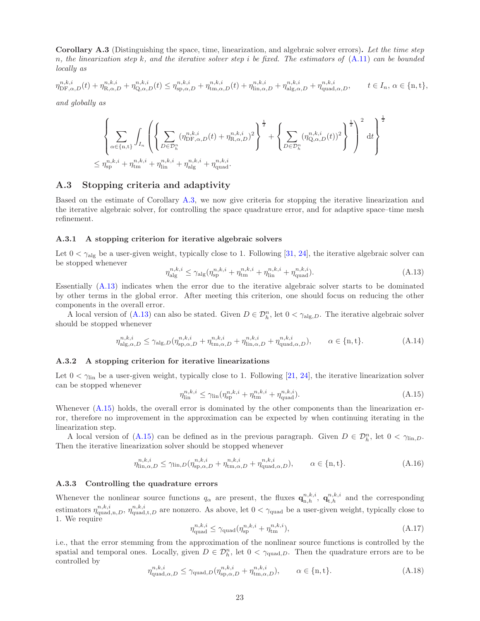<span id="page-22-0"></span>Corollary A.3 (Distinguishing the space, time, linearization, and algebraic solver errors). Let the time step n, the linearization step k, and the iterative solver step i be fixed. The estimators of  $(A.11)$  can be bounded locally as

$$
\eta_{\text{DF},\alpha,D}^{n,k,i}(t) + \eta_{\text{R},\alpha,D}^{n,k,i} + \eta_{\text{Q},\alpha,D}^{n,k,i}(t) \le \eta_{\text{sp},\alpha,D}^{n,k,i} + \eta_{\text{tm},\alpha,D}^{n,k,i}(t) + \eta_{\text{lin},\alpha,D}^{n,k,i} + \eta_{\text{alg},\alpha,D}^{n,k,i} + \eta_{\text{quad},\alpha,D}^{n,k,i}, \qquad t \in I_n, \, \alpha \in \{n,t\},
$$

and globally as

$$
\left\{\sum\limits_{\alpha\in\{n,t\}}\int_{I_n}\left(\left\{\sum\limits_{D\in\mathcal{D}_h^n}(\eta_{\text{DF},\alpha,D}^{n,k,i}(t)+\eta_{\text{R},\alpha,D}^{n,k,i})^2\right\}^{\frac{1}{2}}+\left\{\sum\limits_{D\in\mathcal{D}_h^n}(\eta_{\text{Q},\alpha,D}^{n,k,i}(t))^2\right\}^{\frac{1}{2}}\right\}^{\frac{1}{2}}\right\}^{\frac{1}{2}}\text{d}t\right\}^{\frac{1}{2}}
$$

## <span id="page-22-1"></span>A.3 Stopping criteria and adaptivity

Based on the estimate of Corollary [A.3,](#page-22-0) we now give criteria for stopping the iterative linearization and the iterative algebraic solver, for controlling the space quadrature error, and for adaptive space–time mesh refinement.

#### A.3.1 A stopping criterion for iterative algebraic solvers

Let  $0 < \gamma_{\text{alg}}$  be a user-given weight, typically close to 1. Following [\[31,](#page-24-15) [24\]](#page-24-17), the iterative algebraic solver can be stopped whenever

<span id="page-22-2"></span>
$$
\eta_{\text{alg}}^{n,k,i} \le \gamma_{\text{alg}} (\eta_{\text{sp}}^{n,k,i} + \eta_{\text{tm}}^{n,k,i} + \eta_{\text{lin}}^{n,k,i} + \eta_{\text{quad}}^{n,k,i}). \tag{A.13}
$$

Essentially [\(A.13\)](#page-22-2) indicates when the error due to the iterative algebraic solver starts to be dominated by other terms in the global error. After meeting this criterion, one should focus on reducing the other components in the overall error.

A local version of  $(A.13)$  can also be stated. Given  $D \in \mathcal{D}_h^n$ , let  $0 < \gamma_{\text{alg},D}$ . The iterative algebraic solver should be stopped whenever

<span id="page-22-5"></span>
$$
\eta_{\mathrm{alg},\alpha,D}^{n,k,i} \le \gamma_{\mathrm{alg},D}(\eta_{\mathrm{sp},\alpha,D}^{n,k,i} + \eta_{\mathrm{tm},\alpha,D}^{n,k,i} + \eta_{\mathrm{lin},\alpha,D}^{n,k,i} + \eta_{\mathrm{quad},\alpha,D}^{n,k,i}), \qquad \alpha \in \{ \mathbf{n}, \mathbf{t} \}. \tag{A.14}
$$

#### A.3.2 A stopping criterion for iterative linearizations

Let  $0 < \gamma_{lin}$  be a user-given weight, typically close to 1. Following [\[21,](#page-24-16) [24\]](#page-24-17), the iterative linearization solver can be stopped whenever

<span id="page-22-3"></span>
$$
\eta_{\text{lin}}^{n,k,i} \le \gamma_{\text{lin}} (\eta_{\text{sp}}^{n,k,i} + \eta_{\text{tm}}^{n,k,i} + \eta_{\text{quad}}^{n,k,i}). \tag{A.15}
$$

Whenever  $(A.15)$  holds, the overall error is dominated by the other components than the linearization error, therefore no improvement in the approximation can be expected by when continuing iterating in the linearization step.

A local version of [\(A.15\)](#page-22-3) can be defined as in the previous paragraph. Given  $D \in \mathcal{D}_h^n$ , let  $0 < \gamma_{\text{lin},D}$ . Then the iterative linearization solver should be stopped whenever

<span id="page-22-6"></span>
$$
\eta_{\text{lin},\alpha,D}^{n,k,i} \le \gamma_{\text{lin},D} (\eta_{\text{sp},\alpha,D}^{n,k,i} + \eta_{\text{tm},\alpha,D}^{n,k,i} + \eta_{\text{quad},\alpha,D}^{n,k,i}), \qquad \alpha \in \{\text{n},\text{t}\}. \tag{A.16}
$$

#### A.3.3 Controlling the quadrature errors

Whenever the nonlinear source functions  $q_{\alpha}$  are present, the fluxes  $\mathbf{q}_{n,h}^{n,k,i}$ ,  $\mathbf{q}_{t,h}^{n,k,i}$  and the corresponding estimators  $\eta_{\text{quad},n,D}^{n,k,i}$ ,  $\eta_{\text{quad},t,D}^{n,k,i}$  are nonzero. As above, let  $0 < \gamma_{\text{quad}}$  be a user-given weight, typically close to 1. We require

<span id="page-22-4"></span>
$$
\eta_{\text{quad}}^{n,k,i} \le \gamma_{\text{quad}}(\eta_{\text{sp}}^{n,k,i} + \eta_{\text{tm}}^{n,k,i}),\tag{A.17}
$$

i.e., that the error stemming from the approximation of the nonlinear source functions is controlled by the spatial and temporal ones. Locally, given  $D \in \mathcal{D}_h^n$ , let  $0 < \gamma_{\text{quad},D}$ . Then the quadrature errors are to be controlled by

<span id="page-22-7"></span>
$$
\eta_{\text{quad},\alpha,D}^{n,k,i} \le \gamma_{\text{quad},D}(\eta_{\text{sp},\alpha,D}^{n,k,i} + \eta_{\text{tm},\alpha,D}^{n,k,i}), \qquad \alpha \in \{\text{n},\text{t}\}. \tag{A.18}
$$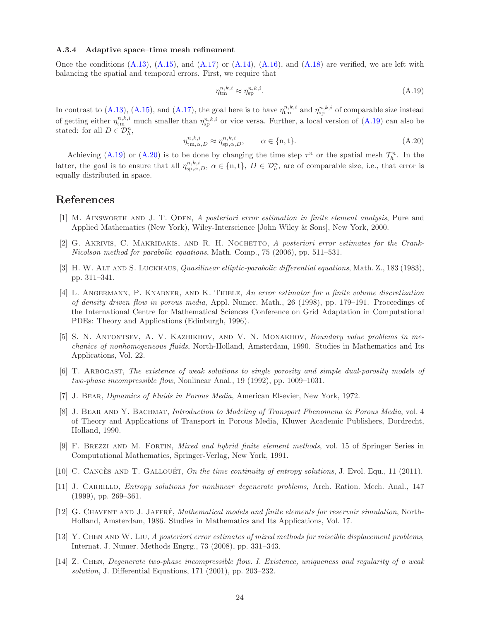#### A.3.4 Adaptive space–time mesh refinement

Once the conditions  $(A.13)$ ,  $(A.15)$ , and  $(A.17)$  or  $(A.14)$ ,  $(A.16)$ , and  $(A.18)$  are verified, we are left with balancing the spatial and temporal errors. First, we require that

<span id="page-23-14"></span>
$$
\eta_{\rm tm}^{n,k,i} \approx \eta_{\rm sp}^{n,k,i}.\tag{A.19}
$$

In contrast to [\(A.13\)](#page-22-2), [\(A.15\)](#page-22-3), and [\(A.17\)](#page-22-4), the goal here is to have  $\eta_{tm}^{n,k,i}$  and  $\eta_{sp}^{n,k,i}$  of comparable size instead of getting either  $\eta_{tm}^{n,k,i}$  much smaller than  $\eta_{sp}^{n,k,i}$  or vice versa. Further, a local version of  $(A.19)$  can also be stated: for all  $D \in \mathcal{D}_{h}^{n}$ ,

<span id="page-23-15"></span>
$$
\eta_{\text{tm},\alpha,D}^{n,k,i} \approx \eta_{\text{sp},\alpha,D}^{n,k,i}, \qquad \alpha \in \{\text{n},\text{t}\}. \tag{A.20}
$$

Achieving [\(A.19\)](#page-23-14) or [\(A.20\)](#page-23-15) is to be done by changing the time step  $\tau^n$  or the spatial mesh  $\mathcal{T}_h^n$ . In the latter, the goal is to ensure that all  $\eta_{sp,\alpha,D}^{n,k,i}, \alpha \in \{n, t\}, D \in \mathcal{D}_h^n$ , are of comparable size, i.e., that error is equally distributed in space.

# <span id="page-23-9"></span>References

- [1] M. Ainsworth and J. T. Oden, A posteriori error estimation in finite element analysis, Pure and Applied Mathematics (New York), Wiley-Interscience [John Wiley & Sons], New York, 2000.
- <span id="page-23-8"></span>[2] G. AKRIVIS, C. MAKRIDAKIS, AND R. H. NOCHETTO, A posteriori error estimates for the Crank-Nicolson method for parabolic equations, Math. Comp., 75 (2006), pp. 511–531.
- <span id="page-23-10"></span>[3] H. W. ALT AND S. LUCKHAUS, *Quasilinear elliptic-parabolic differential equations*, Math. Z., 183 (1983), pp. 311–341.
- <span id="page-23-6"></span>[4] L. ANGERMANN, P. KNABNER, AND K. THIELE, An error estimator for a finite volume discretization of density driven flow in porous media, Appl. Numer. Math., 26 (1998), pp. 179–191. Proceedings of the International Centre for Mathematical Sciences Conference on Grid Adaptation in Computational PDEs: Theory and Applications (Edinburgh, 1996).
- <span id="page-23-3"></span>[5] S. N. Antontsev, A. V. Kazhikhov, and V. N. Monakhov, Boundary value problems in mechanics of nonhomogeneous fluids, North-Holland, Amsterdam, 1990. Studies in Mathematics and Its Applications, Vol. 22.
- <span id="page-23-4"></span>[6] T. Arbogast, The existence of weak solutions to single porosity and simple dual-porosity models of two-phase incompressible flow, Nonlinear Anal., 19 (1992), pp. 1009–1031.
- <span id="page-23-2"></span><span id="page-23-0"></span>[7] J. Bear, Dynamics of Fluids in Porous Media, American Elsevier, New York, 1972.
- [8] J. Bear and Y. Bachmat, Introduction to Modeling of Transport Phenomena in Porous Media, vol. 4 of Theory and Applications of Transport in Porous Media, Kluwer Academic Publishers, Dordrecht, Holland, 1990.
- <span id="page-23-13"></span>[9] F. Brezzi and M. Fortin, Mixed and hybrid finite element methods, vol. 15 of Springer Series in Computational Mathematics, Springer-Verlag, New York, 1991.
- <span id="page-23-12"></span><span id="page-23-11"></span>[10] C. CANCÈS AND T. GALLOUËT, On the time continuity of entropy solutions, J. Evol. Equ., 11 (2011).
- [11] J. CARRILLO, *Entropy solutions for nonlinear degenerate problems*, Arch. Ration. Mech. Anal., 147 (1999), pp. 269–361.
- <span id="page-23-1"></span>[12] G. CHAVENT AND J. JAFFRÉ, Mathematical models and finite elements for reservoir simulation, North-Holland, Amsterdam, 1986. Studies in Mathematics and Its Applications, Vol. 17.
- <span id="page-23-7"></span>[13] Y. Chen and W. Liu, A posteriori error estimates of mixed methods for miscible displacement problems, Internat. J. Numer. Methods Engrg., 73 (2008), pp. 331–343.
- <span id="page-23-5"></span>[14] Z. Chen, Degenerate two-phase incompressible flow. I. Existence, uniqueness and regularity of a weak solution, J. Differential Equations, 171 (2001), pp. 203–232.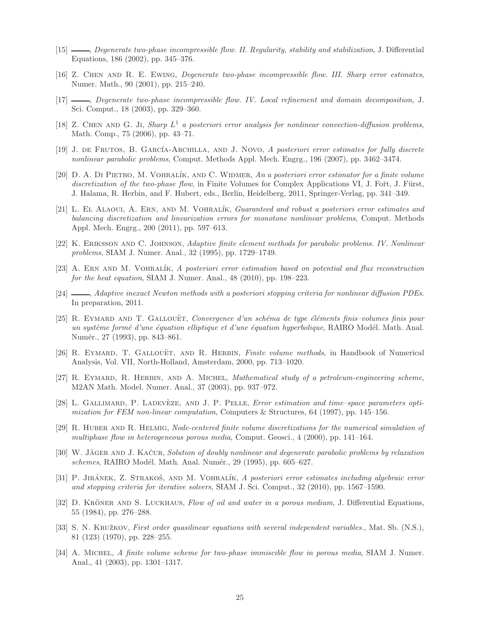- <span id="page-24-2"></span><span id="page-24-1"></span>[15]  $\_\_\_\_\_\_\_\_\_\_\.\_\_\_\_\_\_\.\_\_\_\.\_\_\_\.\_$  Degenerate two-phase incompressible flow. II. Regularity, stability and stabilization, J. Differential Equations, 186 (2002), pp. 345–376.
- <span id="page-24-8"></span>[16] Z. Chen and R. E. Ewing, Degenerate two-phase incompressible flow. III. Sharp error estimates, Numer. Math., 90 (2001), pp. 215–240.
- [17] , Degenerate two-phase incompressible flow. IV. Local refinement and domain decomposition, J. Sci. Comput., 18 (2003), pp. 329–360.
- <span id="page-24-12"></span>[18] Z. CHEN AND G. JI, Sharp  $L^1$  a posteriori error analysis for nonlinear convection-diffusion problems, Math. Comp., 75 (2006), pp. 43–71.
- <span id="page-24-13"></span>[19] J. DE FRUTOS, B. GARCÍA-ARCHILLA, AND J. NOVO, A posteriori error estimates for fully discrete nonlinear parabolic problems, Comput. Methods Appl. Mech. Engrg., 196 (2007), pp. 3462–3474.
- <span id="page-24-9"></span>[20] D. A. DI PIETRO, M. VOHRALÍK, AND C. WIDMER, An a posteriori error estimator for a finite volume discretization of the two-phase flow, in Finite Volumes for Complex Applications VI, J. Fort, J. Fürst, J. Halama, R. Herbin, and F. Hubert, eds., Berlin, Heidelberg, 2011, Springer-Verlag, pp. 341–349.
- <span id="page-24-16"></span>[21] L. El Alaoui, A. Ern, and M. Vohral´ık, Guaranteed and robust a posteriori error estimates and balancing discretization and linearization errors for monotone nonlinear problems, Comput. Methods Appl. Mech. Engrg., 200 (2011), pp. 597–613.
- <span id="page-24-14"></span><span id="page-24-10"></span>[22] K. Eriksson and C. Johnson, Adaptive finite element methods for parabolic problems. IV. Nonlinear problems, SIAM J. Numer. Anal., 32 (1995), pp. 1729–1749.
- [23] A. Ern and M. Vohral´ık, A posteriori error estimation based on potential and flux reconstruction for the heat equation, SIAM J. Numer. Anal., 48 (2010), pp. 198–223.
- <span id="page-24-17"></span>[24]  $\_\_\_\_\$ , Adaptive inexact Newton methods with a posteriori stopping criteria for nonlinear diffusion PDEs. In preparation, 2011.
- <span id="page-24-6"></span>[25] R. EYMARD AND T. GALLOUËT, Convergence d'un schéma de type éléments finis-volumes finis pour un système formé d'une équation elliptique et d'une équation hyperbolique, RAIRO Modél. Math. Anal. Numér., 27 (1993), pp. 843–861.
- <span id="page-24-3"></span>[26] R. EYMARD, T. GALLOUËT, AND R. HERBIN, Finite volume methods, in Handbook of Numerical Analysis, Vol. VII, North-Holland, Amsterdam, 2000, pp. 713–1020.
- <span id="page-24-5"></span>[27] R. EYMARD, R. HERBIN, AND A. MICHEL, Mathematical study of a petroleum-engineering scheme, M2AN Math. Model. Numer. Anal., 37 (2003), pp. 937–972.
- <span id="page-24-11"></span>[28] L. GALLIMARD, P. LADEVÈZE, AND J. P. PELLE, Error estimation and time–space parameters optimization for FEM non-linear computation, Computers & Structures, 64 (1997), pp. 145–156.
- <span id="page-24-7"></span>[29] R. Huber and R. Helmig, Node-centered finite volume discretizations for the numerical simulation of multiphase flow in heterogeneous porous media, Comput. Geosci., 4 (2000), pp. 141–164.
- <span id="page-24-19"></span>[30] W. JÄGER AND J. KAČUR, Solution of doubly nonlinear and degenerate parabolic problems by relaxation schemes, RAIRO Modél. Math. Anal. Numér., 29 (1995), pp. 605–627.
- <span id="page-24-15"></span>[31] P. JIRÁNEK, Z. STRAKOŠ, AND M. VOHRALÍK, A posteriori error estimates including algebraic error and stopping criteria for iterative solvers, SIAM J. Sci. Comput., 32 (2010), pp. 1567–1590.
- <span id="page-24-0"></span>[32] D. KRÖNER AND S. LUCKHAUS, Flow of oil and water in a porous medium, J. Differential Equations, 55 (1984), pp. 276–288.
- <span id="page-24-18"></span>[33] S. N. KRUŽKOV, First order quasilinear equations with several independent variables., Mat. Sb. (N.S.), 81 (123) (1970), pp. 228–255.
- <span id="page-24-4"></span>[34] A. MICHEL, A finite volume scheme for two-phase immiscible flow in porous media, SIAM J. Numer. Anal., 41 (2003), pp. 1301–1317.